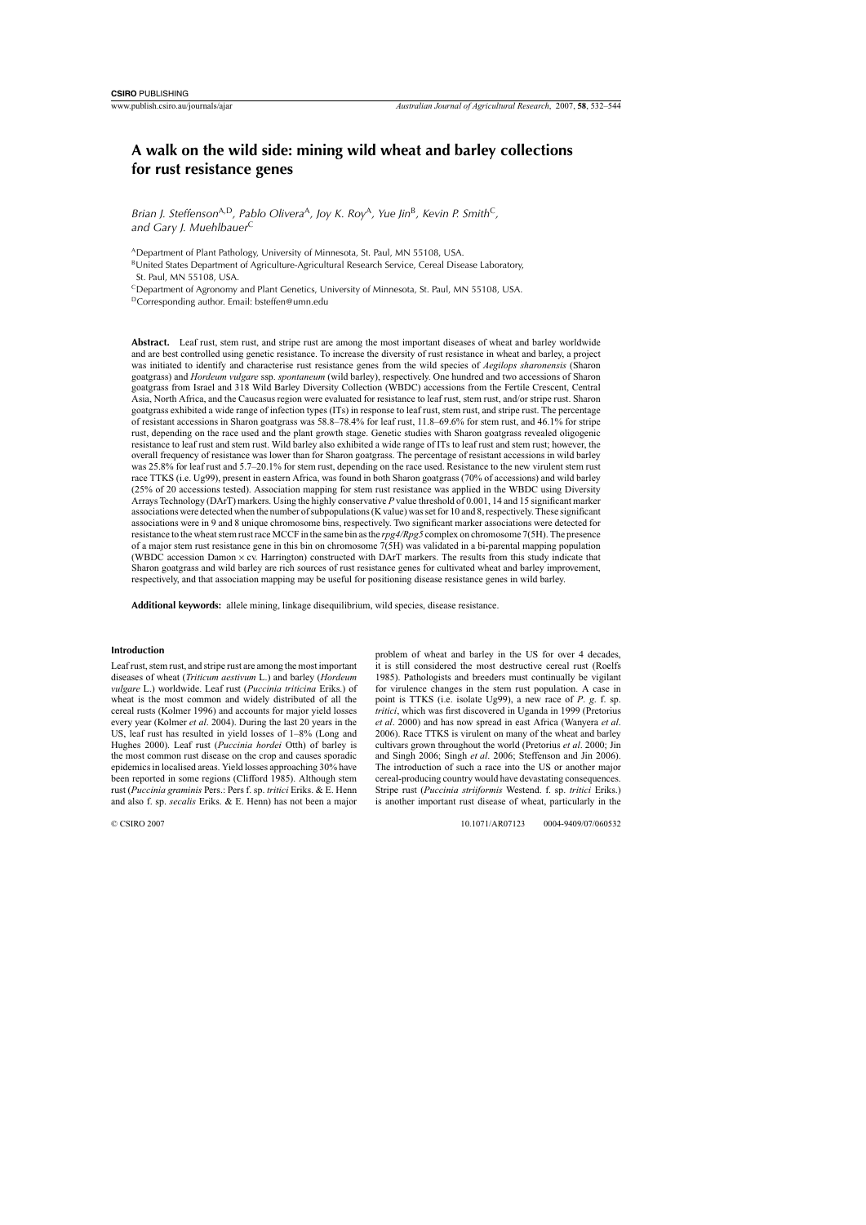# **A walk on the wild side: mining wild wheat and barley collections for rust resistance genes**

*Brian J. Steffenson*A,D*, Pablo Olivera*<sup>A</sup>*, Joy K. Roy*<sup>A</sup>*, Yue Jin*<sup>B</sup>*, Kevin P. Smith*<sup>C</sup>*, and Gary J. Muehlbauer*<sup>C</sup>

ADepartment of Plant Pathology, University of Minnesota, St. Paul, MN 55108, USA.

<sup>B</sup>United States Department of Agriculture-Agricultural Research Service, Cereal Disease Laboratory, St. Paul, MN 55108, USA.

CDepartment of Agronomy and Plant Genetics, University of Minnesota, St. Paul, MN 55108, USA. DCorresponding author. Email: bsteffen@umn.edu

**Abstract.** Leaf rust, stem rust, and stripe rust are among the most important diseases of wheat and barley worldwide and are best controlled using genetic resistance. To increase the diversity of rust resistance in wheat and barley, a project was initiated to identify and characterise rust resistance genes from the wild species of *Aegilops sharonensis* (Sharon goatgrass) and *Hordeum vulgare* ssp. *spontaneum* (wild barley), respectively. One hundred and two accessions of Sharon goatgrass from Israel and 318 Wild Barley Diversity Collection (WBDC) accessions from the Fertile Crescent, Central Asia, North Africa, and the Caucasus region were evaluated for resistance to leaf rust, stem rust, and/or stripe rust. Sharon goatgrass exhibited a wide range of infection types (ITs) in response to leaf rust, stem rust, and stripe rust. The percentage of resistant accessions in Sharon goatgrass was 58.8–78.4% for leaf rust, 11.8–69.6% for stem rust, and 46.1% for stripe rust, depending on the race used and the plant growth stage. Genetic studies with Sharon goatgrass revealed oligogenic resistance to leaf rust and stem rust. Wild barley also exhibited a wide range of ITs to leaf rust and stem rust; however, the overall frequency of resistance was lower than for Sharon goatgrass. The percentage of resistant accessions in wild barley was 25.8% for leaf rust and 5.7–20.1% for stem rust, depending on the race used. Resistance to the new virulent stem rust race TTKS (i.e. Ug99), present in eastern Africa, was found in both Sharon goatgrass (70% of accessions) and wild barley (25% of 20 accessions tested). Association mapping for stem rust resistance was applied in the WBDC using Diversity Arrays Technology (DArT) markers. Using the highly conservative *P* value threshold of 0.001, 14 and 15 significant marker associations were detected when the number of subpopulations (K value) was set for 10 and 8, respectively. These significant associations were in 9 and 8 unique chromosome bins, respectively. Two significant marker associations were detected for resistance to the wheat stem rust race MCCF in the same bin as the rpg4/Rpg5 complex on chromosome 7(5H). The presence of a major stem rust resistance gene in this bin on chromosome 7(5H) was validated in a bi-parental mapping population (WBDC accession Damon × cv. Harrington) constructed with DArT markers. The results from this study indicate that Sharon goatgrass and wild barley are rich sources of rust resistance genes for cultivated wheat and barley improvement, respectively, and that association mapping may be useful for positioning disease resistance genes in wild barley.

**Additional keywords:** allele mining, linkage disequilibrium, wild species, disease resistance.

#### **Introduction**

Leaf rust, stem rust, and stripe rust are among the most important diseases of wheat (*Triticum aestivum* L.) and barley (*Hordeum vulgare* L.) worldwide. Leaf rust (*Puccinia triticina* Eriks.) of wheat is the most common and widely distributed of all the cereal rusts [\(Kolmer](#page-11-0) 1996) and accounts for major yield losses every year [\(Kolmer](#page-11-1) *et al*. 2004). During the last 20 years in the US, leaf rust has resulted in yield losses of 1–8% (Long and Hughes 2000). Leaf rust (*Puccinia hordei* Otth) of barley is the most common rust disease on the crop and causes sporadic epidemicsin localised areas. Yield losses approaching 30% have been reported in some regions [\(Clifford](#page-10-0) 1985). Although stem rust (*Puccinia graminis* Pers.: Pers f. sp. *tritici* Eriks. & E. Henn and also f. sp. *secalis* Eriks. & E. Henn) has not been a major problem of wheat and barley in the US for over 4 decades, it is still considered the most destructive cereal rust [\(Roelfs](#page-11-3) 1985). Pathologists and breeders must continually be vigilant for virulence changes in the stem rust population. A case in point is TTKS (i.e. isolate Ug99), a new race of *P*. *g*. f. sp. *tritici*, which was first discovered in Uganda in 1999 [\(Pretorius](#page-11-4) *et al*. 2000) and has now spread in east Africa [\(Wanyera](#page-12-0) *et al*. [2006\).](#page-11-2) Race TTKS is virulent on many of the wheat and barley cultivars grown throughout the world [\(Pretorius](#page-11-4) *et al*. 2000; [Jin](#page-11-5) and Singh 2006; [Singh](#page-11-6) *et al*. 2006; [Steffenson](#page-12-1) and Jin 2006). The introduction of such a race into the US or another major cereal-producing country would have devastating consequences. Stripe rust (*Puccinia striiformis* Westend. f. sp. *tritici* Eriks.) is another important rust disease of wheat, particularly in the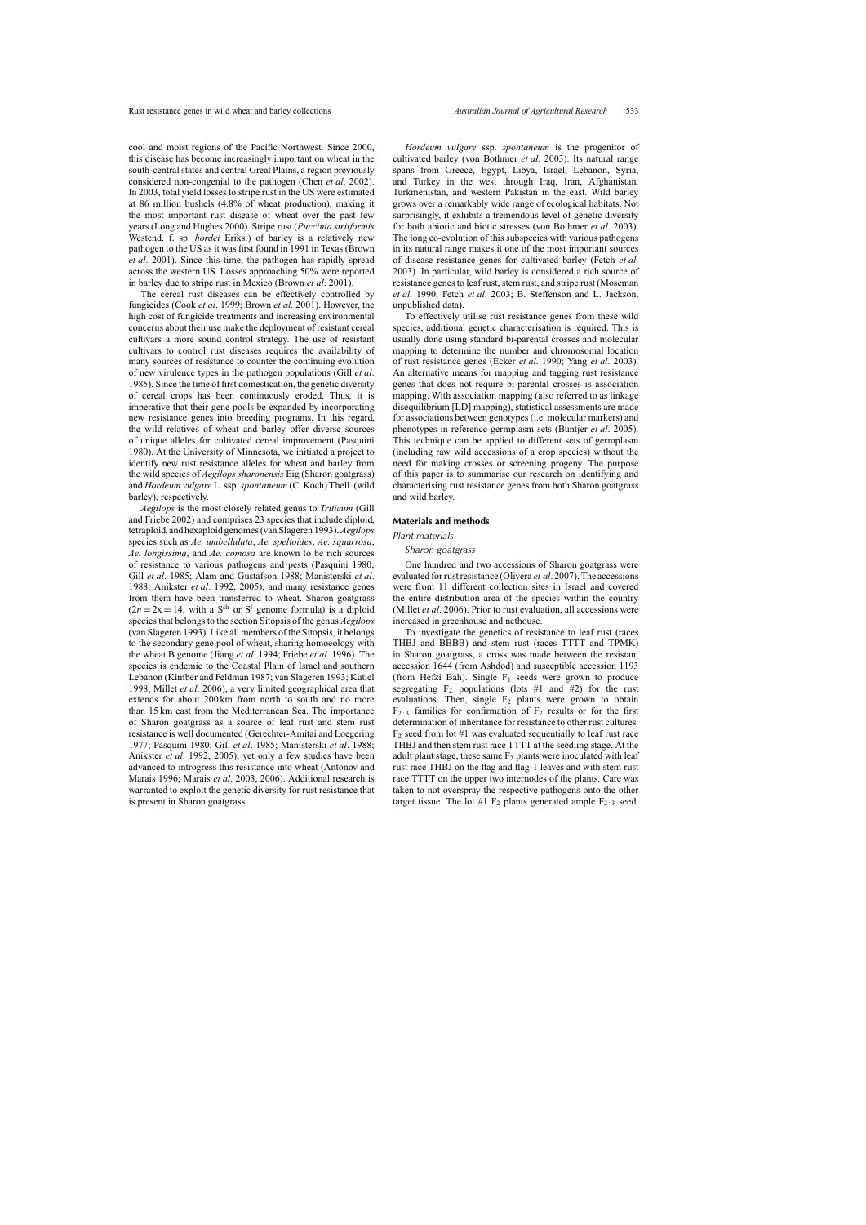cool and moist regions of the Pacific Northwest. Since 2000, this disease has become increasingly important on wheat in the south-central states and central Great Plains, a region previously considered non-congenial to the pathogen (Chen *et al*. [2002\).](#page-10-1) In 2003, total yield losses to stripe rust in the US were estimated at 86 million bushels (4.8% of wheat production), making it the most important rust disease of wheat over the past few years (Long and [Hughes](#page-11-2) 2000). Stripe rust (*Puccinia striiformis* Westend. f. sp. *hordei* Eriks.) of barley is a relatively new pathogen to the US as it was first found in 1991 in Texas ([Brown](#page-10-2) *et al*. 2001). Since this time, the pathogen has rapidly spread across the western US. Losses approaching 50% were reported in barley due to stripe rust in Mexico ([Brown](#page-10-2) *et al*. 2001).

The cereal rust diseases can be effectively controlled by fungicides (Cook *et al*. [1999;](#page-10-3) [Brown](#page-10-2) *et al*. 2001). However, the high cost of fungicide treatments and increasing environmental concerns about their use make the deployment of resistant cereal cultivars a more sound control strategy. The use of resistant cultivars to control rust diseases requires the availability of many sources of resistance to counter the continuing evolution of new virulence types in the pathogen populations ([Gill](#page-11-7) *et al*. 1985). Since the time of first domestication, the genetic diversity of cereal crops has been continuously eroded. Thus, it is imperative that their gene pools be expanded by incorporating new resistance genes into breeding programs. In this regard, the wild relatives of wheat and barley offer diverse sources of unique alleles for cultivated cereal improvement ([Pasquini](#page-11-8) 1980). At the University of Minnesota, we initiated a project to identify new rust resistance alleles for wheat and barley from the wild species of *Aegilops sharonensis* Eig (Sharon goatgrass) and *Hordeum vulgare* L.ssp.*spontaneum* (C. Koch) Thell. (wild barley), respectively.

*Aegilops* is the most closely related genus to *Triticum* ([Gill](#page-11-9) and Friebe 2002) and comprises 23 species that include diploid, tetraploid, and hexaploid genomes(van [Slageren](#page-11-10) 1993).*Aegilops* species such as *Ae. umbellulata*, *Ae. speltoides*, *Ae. squarrosa*, *Ae. longissima*, and *Ae. comosa* are known to be rich sources of resistance to various pathogens and pests [\(Pasquini](#page-11-8) 1980; Gill *et al*. [1985;](#page-11-7) Alam and [Gustafson](#page-10-4) 1988; [Manisterski](#page-11-11) *et al*. 1988; [Anikster](#page-10-5) *et al*. 1992, [2005\),](#page-10-6) and many resistance genes from them have been transferred to wheat. Sharon goatgrass  $(2n = 2x = 14$ , with a S<sup>sh</sup> or S<sup>1</sup> genome formula) is a diploid speciesthat belongsto the section Sitopsis of the genus *Aegilops* (van [Slageren](#page-11-10) 1993). Like all members of the Sitopsis, it belongs to the secondary gene pool of wheat, sharing homoeology with the wheat B genome (Jiang *et al*. [1994;](#page-11-12) Friebe *et al*. [1996\).](#page-11-11) The species is endemic to the Coastal Plain of Israel and southern Lebanon (Kimber and [Feldman](#page-11-4) 1987; van [Slageren](#page-11-10) 1993; [Kutiel](#page-11-13) 1998; [Millet](#page-11-14) *et al*. 2006), a very limited geographical area that extends for about 200 km from north to south and no more than 15 km east from the Mediterranean Sea. The importance of Sharon goatgrass as a source of leaf rust and stem rust resistance is well documented ([Gerechter-Amitai](#page-11-15) and Loegering 1977; [Pasquini](#page-11-8) 1980; Gill *et al*. [1985;](#page-11-7) [Manisterski](#page-11-11) *et al*. 1988; [Anikster](#page-10-5) *et al*. 1992, [2005\),](#page-10-6) yet only a few studies have been advanced to introgress this resistance into wheat [\(Antonov](#page-10-7) and Marais 1996; [Marais](#page-11-9) *et al*. 2003, [2006\).](#page-11-16) Additional research is warranted to exploit the genetic diversity for rust resistance that is present in Sharon goatgrass.

*Hordeum vulgare* ssp. *spontaneum* is the progenitor of cultivated barley (von [Bothmer](#page-10-8) *et al*. 2003). Its natural range spans from Greece, Egypt, Libya, Israel, Lebanon, Syria, and Turkey in the west through Iraq, Iran, Afghanistan, Turkmenistan, and western Pakistan in the east. Wild barley grows over a remarkably wide range of ecological habitats. Not surprisingly, it exhibits a tremendous level of genetic diversity for both abiotic and biotic stresses (von [Bothmer](#page-10-8) *et al*. 2003). The long co-evolution of this subspecies with various pathogens in its natural range makes it one of the most important sources of disease resistance genes for cultivated barley ([Fetch](#page-10-9) *et al*. 2003). In particular, wild barley is considered a rich source of resistance genes to leaf rust, stem rust, and stripe rust ([Moseman](#page-11-17) *et al*. 1990; Fetch *et al*. [2003;](#page-10-9) B. Steffenson and L. Jackson, unpublished data).

To effectively utilise rust resistance genes from these wild species, additional genetic characterisation is required. This is usually done using standard bi-parental crosses and molecular mapping to determine the number and chromosomal location of rust resistance genes ([Ecker](#page-10-10) *et al*. 1990; Yang *et al*. [2003\).](#page-12-2) An alternative means for mapping and tagging rust resistance genes that does not require bi-parental crosses is association mapping. With association mapping (also referred to as linkage disequilibrium [LD] mapping), statistical assessments are made for associations between genotypes (i.e. molecular markers) and phenotypes in reference germplasm sets [\(Buntjer](#page-10-11) *et al*. 2005). This technique can be applied to different sets of germplasm (including raw wild accessions of a crop species) without the need for making crosses or screening progeny. The purpose of this paper is to summarise our research on identifying and characterising rust resistance genes from both Sharon goatgrass and wild barley.

#### **Materials and methods**

#### *Plant materials*

#### *Sharon goatgrass*

One hundred and two accessions of Sharon goatgrass were evaluated forrustresistance [\(Olivera](#page-11-18) *et al*. 2007).The accessions were from 11 different collection sites in Israel and covered the entire distribution area of the species within the country (Millet *et al*. [2006\).](#page-11-14) Prior to rust evaluation, all accessions were increased in greenhouse and nethouse.

To investigate the genetics of resistance to leaf rust (races THBJ and BBBB) and stem rust (races TTTT and TPMK) in Sharon goatgrass, a cross was made between the resistant accession 1644 (from Ashdod) and susceptible accession 1193 (from Hefzi Bah). Single  $F_1$  seeds were grown to produce segregating  $F_2$  populations (lots #1 and #2) for the rust evaluations. Then, single  $F_2$  plants were grown to obtain  $F_{2:3}$  families for confirmation of  $F_2$  results or for the first determination of inheritance for resistance to other rust cultures.  $F_2$  seed from lot #1 was evaluated sequentially to leaf rust race THBJ and then stem rust race TTTT at the seedling stage. At the adult plant stage, these same  $F_2$  plants were inoculated with leaf rust race THBJ on the flag and flag-1 leaves and with stem rust race TTTT on the upper two internodes of the plants. Care was taken to not overspray the respective pathogens onto the other target tissue. The lot #1  $F_2$  plants generated ample  $F_{2:3}$  seed.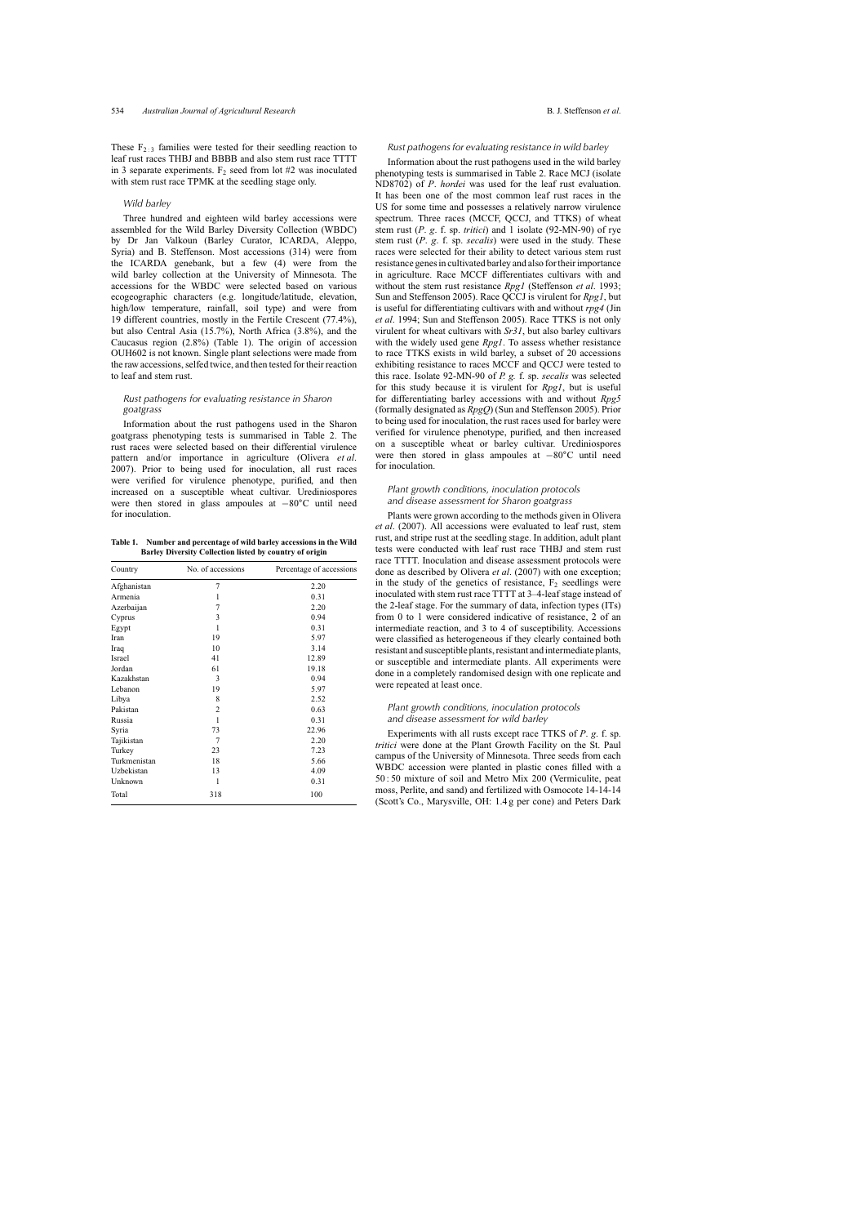These  $F_{2:3}$  families were tested for their seedling reaction to leaf rust races THBJ and BBBB and also stem rust race TTTT in 3 separate experiments.  $F_2$  seed from lot #2 was inoculated with stem rust race TPMK at the seedling stage only.

#### *Wild barley*

Three hundred and eighteen wild barley accessions were assembled for the Wild Barley Diversity Collection (WBDC) by Dr Jan Valkoun (Barley Curator, ICARDA, Aleppo, Syria) and B. Steffenson. Most accessions (314) were from the ICARDA genebank, but a few (4) were from the wild barley collection at the University of Minnesota. The accessions for the WBDC were selected based on various ecogeographic characters (e.g. longitude/latitude, elevation, high/low temperature, rainfall, soil type) and were from 19 different countries, mostly in the Fertile Crescent (77.4%), but also Central Asia (15.7%), North Africa (3.8%), and the Caucasus region (2.8%) (Table 1). The origin of accession OUH602 is not known. Single plant selections were made from the raw accessions, selfed twice, and then tested for their reaction to leaf and stem rust.

# *Rust pathogens for evaluating resistance in Sharon goatgrass*

Information about the rust pathogens used in the Sharon goatgrass phenotyping tests is summarised in [Table](#page-3-0) 2. The rust races were selected based on their differential virulence pattern and/or importance in agriculture [\(Olivera](#page-11-18) *et al*. 2007). Prior to being used for inoculation, all rust races were verified for virulence phenotype, purified, and then increased on a susceptible wheat cultivar. Urediniospores were then stored in glass ampoules at −80◦C until need for inoculation.

**Table 1. Number and percentage of wild barley accessions in the Wild Barley Diversity Collection listed by country of origin**

| Country      | No. of accessions | Percentage of accessions |  |  |
|--------------|-------------------|--------------------------|--|--|
| Afghanistan  | 7                 | 2.20                     |  |  |
| Armenia      | 1                 | 0.31                     |  |  |
| Azerbaijan   | 7                 | 2.20                     |  |  |
| Cyprus       | 3                 | 0.94                     |  |  |
| Egypt        | 1                 | 0.31                     |  |  |
| Iran         | 19                | 5.97                     |  |  |
| Iraq         | 10                | 3.14                     |  |  |
| Israel       | 41                | 12.89                    |  |  |
| Jordan       | 61                | 19.18                    |  |  |
| Kazakhstan   | 3                 | 0.94                     |  |  |
| Lebanon      | 19                | 5.97                     |  |  |
| Libya        | 8                 | 2.52                     |  |  |
| Pakistan     | $\overline{2}$    | 0.63                     |  |  |
| Russia       | 1                 | 0.31                     |  |  |
| Syria        | 73                | 22.96                    |  |  |
| Tajikistan   | 7                 | 2.20                     |  |  |
| Turkey       | 23                | 7.23                     |  |  |
| Turkmenistan | 18                | 5.66                     |  |  |
| Uzbekistan   | 13                | 4.09                     |  |  |
| Unknown      | 1                 | 0.31                     |  |  |
| Total        | 318               | 100                      |  |  |

#### *Rust pathogens for evaluating resistance in wild barley*

Information about the rust pathogens used in the wild barley phenotyping tests is summarised in [Table](#page-3-0) 2. Race MCJ (isolate ND8702) of *P*. *hordei* was used for the leaf rust evaluation. It has been one of the most common leaf rust races in the US for some time and possesses a relatively narrow virulence spectrum. Three races (MCCF, QCCJ, and TTKS) of wheat stem rust (*P*. *g*. f. sp. *tritici*) and 1 isolate (92-MN-90) of rye stem rust (*P*. *g*. f. sp. *secalis*) were used in the study. These races were selected for their ability to detect various stem rust resistance genes in cultivated barley and also for their importance in agriculture. Race MCCF differentiates cultivars with and without the stem rust resistance *Rpg1* [\(Steffenson](#page-12-3) *et al*. 1993; Sun and [Steffenson](#page-12-4) 2005). Race QCCJ is virulent for *Rpg1*, but is useful for differentiating cultivars with and without *rpg4* [\(Jin](#page-11-19) *et al*. 1994; Sun and [Steffenson](#page-12-4) 2005). Race TTKS is not only virulent for wheat cultivars with *Sr31*, but also barley cultivars with the widely used gene *Rpg1*. To assess whether resistance to race TTKS exists in wild barley, a subset of 20 accessions exhibiting resistance to races MCCF and QCCJ were tested to this race. Isolate 92-MN-90 of *P. g.* f. sp. *secalis* was selected for this study because it is virulent for *Rpg1*, but is useful for differentiating barley accessions with and without *Rpg5* (formally designated as *RpgQ*) (Sun and [Steffenson](#page-12-4) 2005). Prior to being used for inoculation, the rust races used for barley were verified for virulence phenotype, purified, and then increased on a susceptible wheat or barley cultivar. Urediniospores were then stored in glass ampoules at −80◦C until need for inoculation.

# *Plant growth conditions, inoculation protocols and disease assessment for Sharon goatgrass*

Plants were grown according to the methods given in [Olivera](#page-11-18) *et al*. (2007). All accessions were evaluated to leaf rust, stem rust, and stripe rust at the seedling stage. In addition, adult plant tests were conducted with leaf rust race THBJ and stem rust race TTTT. Inoculation and disease assessment protocols were done as described by [Olivera](#page-11-18) *et al*. (2007) with one exception; in the study of the genetics of resistance,  $F_2$  seedlings were inoculated with stem rust race TTTT at 3–4-leaf stage instead of the 2-leaf stage. For the summary of data, infection types (ITs) from 0 to 1 were considered indicative of resistance, 2 of an intermediate reaction, and 3 to 4 of susceptibility. Accessions were classified as heterogeneous if they clearly contained both resistant and susceptible plants, resistant and intermediate plants, or susceptible and intermediate plants. All experiments were done in a completely randomised design with one replicate and were repeated at least once.

# *Plant growth conditions, inoculation protocols and disease assessment for wild barley*

Experiments with all rusts except race TTKS of *P*. *g*. f. sp. *tritici* were done at the Plant Growth Facility on the St. Paul campus of the University of Minnesota. Three seeds from each WBDC accession were planted in plastic cones filled with a 50 : 50 mixture of soil and Metro Mix 200 (Vermiculite, peat moss, Perlite, and sand) and fertilized with Osmocote 14-14-14 (Scott's Co., Marysville, OH: 1.4 g per cone) and Peters Dark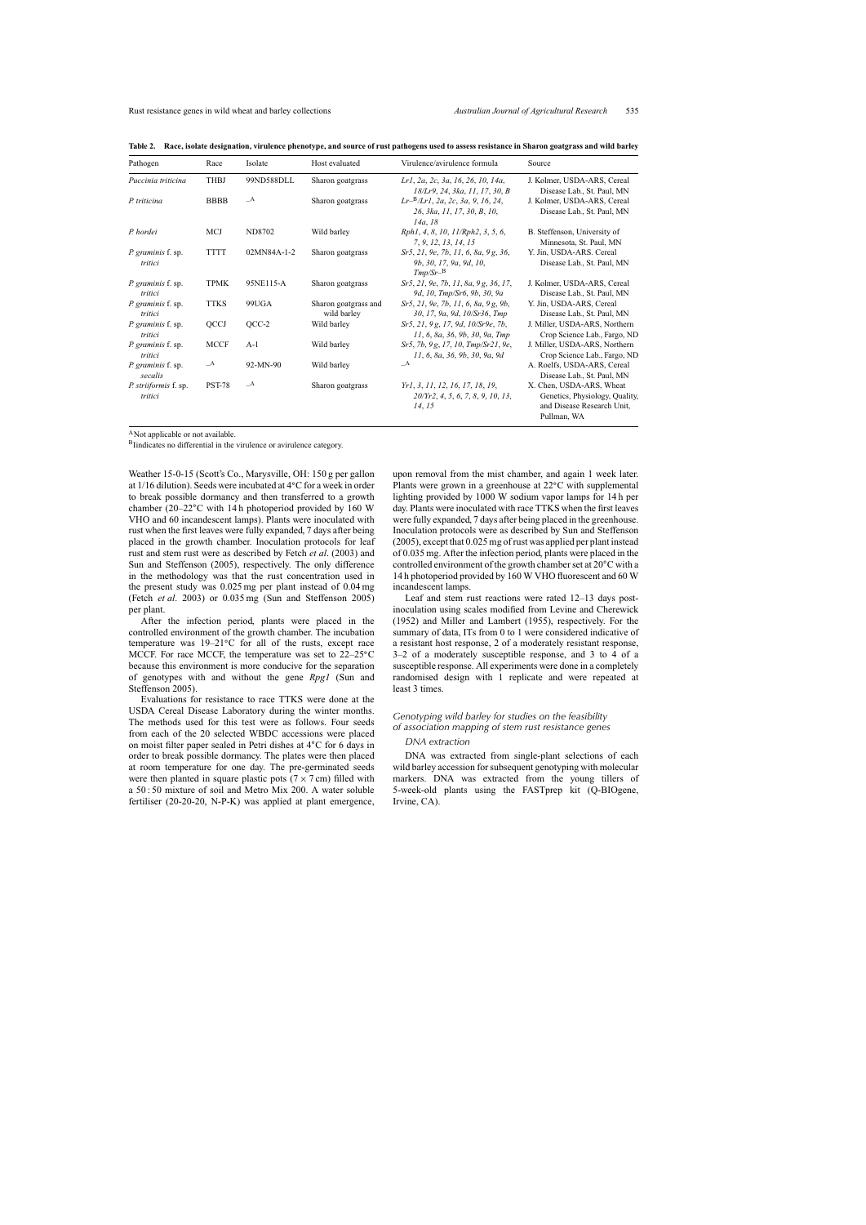| Pathogen                             | Race          | Isolate       | Host evaluated                      | Virulence/avirulence formula                                                             | Source                                                                                                  |
|--------------------------------------|---------------|---------------|-------------------------------------|------------------------------------------------------------------------------------------|---------------------------------------------------------------------------------------------------------|
| Puccinia triticina                   | <b>THBJ</b>   | 99ND588DLL    | Sharon goatgrass                    | Lr1, 2a, 2c, 3a, 16, 26, 10, 14a,<br>18/Lr9, 24, 3ka, 11, 17, 30, B                      | J. Kolmer, USDA-ARS, Cereal<br>Disease Lab., St. Paul, MN                                               |
| P. triticina                         | <b>BBBB</b>   | $\mathcal{A}$ | Sharon goatgrass                    | $Lr$ <sup>B</sup> /Lr1, 2a, 2c, 3a, 9, 16, 24,<br>26, 3ka, 11, 17, 30, B, 10,<br>14a, 18 | J. Kolmer, USDA-ARS, Cereal<br>Disease Lab., St. Paul, MN                                               |
| P. hordei                            | <b>MCJ</b>    | ND8702        | Wild barley                         | Rph1, 4, 8, 10, 11/Rph2, 3, 5, 6,<br>7, 9, 12, 13, 14, 15                                | B. Steffenson, University of<br>Minnesota, St. Paul, MN                                                 |
| P. graminis f. sp.<br>tritici        | <b>TTTT</b>   | 02MN84A-1-2   | Sharon goatgrass                    | Sr5, 21, 9e, 7b, 11, 6, 8a, 9g, 36,<br>9b, 30, 17, 9a, 9d, 10,<br>$Tmp/Sr-B$             | Y. Jin, USDA-ARS. Cereal<br>Disease Lab., St. Paul, MN                                                  |
| <i>P. graminis</i> f. sp.<br>tritici | <b>TPMK</b>   | 95NE115-A     | Sharon goatgrass                    | Sr5, 21, 9e, 7b, 11, 8a, 9g, 36, 17,<br>9d, 10, Tmp/Sr6, 9b, 30, 9a                      | J. Kolmer, USDA-ARS, Cereal<br>Disease Lab., St. Paul, MN                                               |
| P. graminis f. sp.<br>tritici        | <b>TTKS</b>   | 99UGA         | Sharon goatgrass and<br>wild barley | Sr5, 21, 9e, 7b, 11, 6, 8a, 9g, 9b,<br>30, 17, 9a, 9d, 10/Sr36, Tmp                      | Y. Jin, USDA-ARS, Cereal<br>Disease Lab., St. Paul, MN                                                  |
| P. graminis f. sp.<br>tritici        | QCCJ          | $QCC-2$       | Wild barley                         | Sr5, 21, 9g, 17, 9d, 10/Sr9e, 7b,<br>11, 6, 8a, 36, 9b, 30, 9a, Tmp                      | J. Miller, USDA-ARS, Northern<br>Crop Science Lab., Fargo, ND                                           |
| P. graminis f. sp.<br>tritici        | <b>MCCF</b>   | $A-1$         | Wild barley                         | Sr5, 7b, 9g, 17, 10, Tmp/Sr21, 9e,<br>11, 6, 8a, 36, 9b, 30, 9a, 9d                      | J. Miller, USDA-ARS, Northern<br>Crop Science Lab., Fargo, ND                                           |
| P. graminis f. sp.<br>secalis        | $\mathcal{A}$ | 92-MN-90      | Wild barley                         | $\mathcal{A}$                                                                            | A. Roelfs, USDA-ARS, Cereal<br>Disease Lab., St. Paul, MN                                               |
| P. striiformis f. sp.<br>tritici     | <b>PST-78</b> | $\mathcal{A}$ | Sharon goatgrass                    | Yr1, 3, 11, 12, 16, 17, 18, 19,<br>20/Yr2, 4, 5, 6, 7, 8, 9, 10, 13,<br>14, 15           | X. Chen, USDA-ARS, Wheat<br>Genetics, Physiology, Quality,<br>and Disease Research Unit,<br>Pullman, WA |

<span id="page-3-0"></span>Table 2. Race, isolate designation, virulence phenotype, and source of rust pathogens used to assess resistance in Sharon goatgrass and wild barley

ANot applicable or not available.

BIindicates no differential in the virulence or avirulence category.

Weather 15-0-15 (Scott's Co., Marysville, OH: 150 g per gallon at 1/16 dilution). Seeds were incubated at 4◦C for a week in order to break possible dormancy and then transferred to a growth chamber (20–22◦C with 14 h photoperiod provided by 160 W VHO and 60 incandescent lamps). Plants were inoculated with rust when the first leaves were fully expanded, 7 days after being placed in the growth chamber. Inoculation protocols for leaf rust and stem rust were as described by Fetch *et al*. [\(2003\)](#page-10-9) and Sun and [Steffenson](#page-12-4) (2005), respectively. The only difference in the methodology was that the rust concentration used in the present study was 0.025 mg per plant instead of 0.04 mg [\(Fetch](#page-10-9) *et al*. 2003) or 0.035 mg (Sun and [Steffenson](#page-12-4) 2005) per plant.

After the infection period, plants were placed in the controlled environment of the growth chamber. The incubation temperature was 19–21◦C for all of the rusts, except race MCCF. For race MCCF, the temperature was set to 22–25<sup>°</sup>C because this environment is more conducive for the separation of genotypes with and without the gene *Rpg1* [\(Sun](#page-12-4) and [Steffenson](#page-12-4) 2005).

Evaluations for resistance to race TTKS were done at the USDA Cereal Disease Laboratory during the winter months. The methods used for this test were as follows. Four seeds from each of the 20 selected WBDC accessions were placed on moist filter paper sealed in Petri dishes at 4◦C for 6 days in order to break possible dormancy. The plates were then placed at room temperature for one day. The pre-germinated seeds were then planted in square plastic pots ( $7 \times 7$  cm) filled with a 50 : 50 mixture of soil and Metro Mix 200. A water soluble fertiliser (20-20-20, N-P-K) was applied at plant emergence,

upon removal from the mist chamber, and again 1 week later. Plants were grown in a greenhouse at 22◦C with supplemental lighting provided by 1000 W sodium vapor lamps for 14 h per day. Plants were inoculated with race TTKS when the first leaves were fully expanded, 7 days after being placed in the greenhouse. Inoculation protocols were as described by Sun and [Steffenson](#page-12-4) (2005), except that 0.025 mg ofrust was applied per plant instead of 0.035 mg. After the infection period, plants were placed in the controlled environment of the growth chamber set at 20°C with a 14 h photoperiod provided by 160 W VHO fluorescent and 60 W incandescent lamps.

Leaf and stem rust reactions were rated 12–13 days postinoculation using scales modified from Levine and [Cherewick](#page-11-20) (1952) and Miller and [Lambert](#page-11-21) (1955), respectively. For the summary of data, ITs from 0 to 1 were considered indicative of a resistant host response, 2 of a moderately resistant response, 3–2 of a moderately susceptible response, and 3 to 4 of a susceptible response. All experiments were done in a completely randomised design with 1 replicate and were repeated at least 3 times.

# *Genotyping wild barley for studies on the feasibility of association mapping of stem rust resistance genes*

# *DNA extraction*

DNA was extracted from single-plant selections of each wild barley accession for subsequent genotyping with molecular markers. DNA was extracted from the young tillers of 5-week-old plants using the FASTprep kit (Q-BIOgene, Irvine, CA).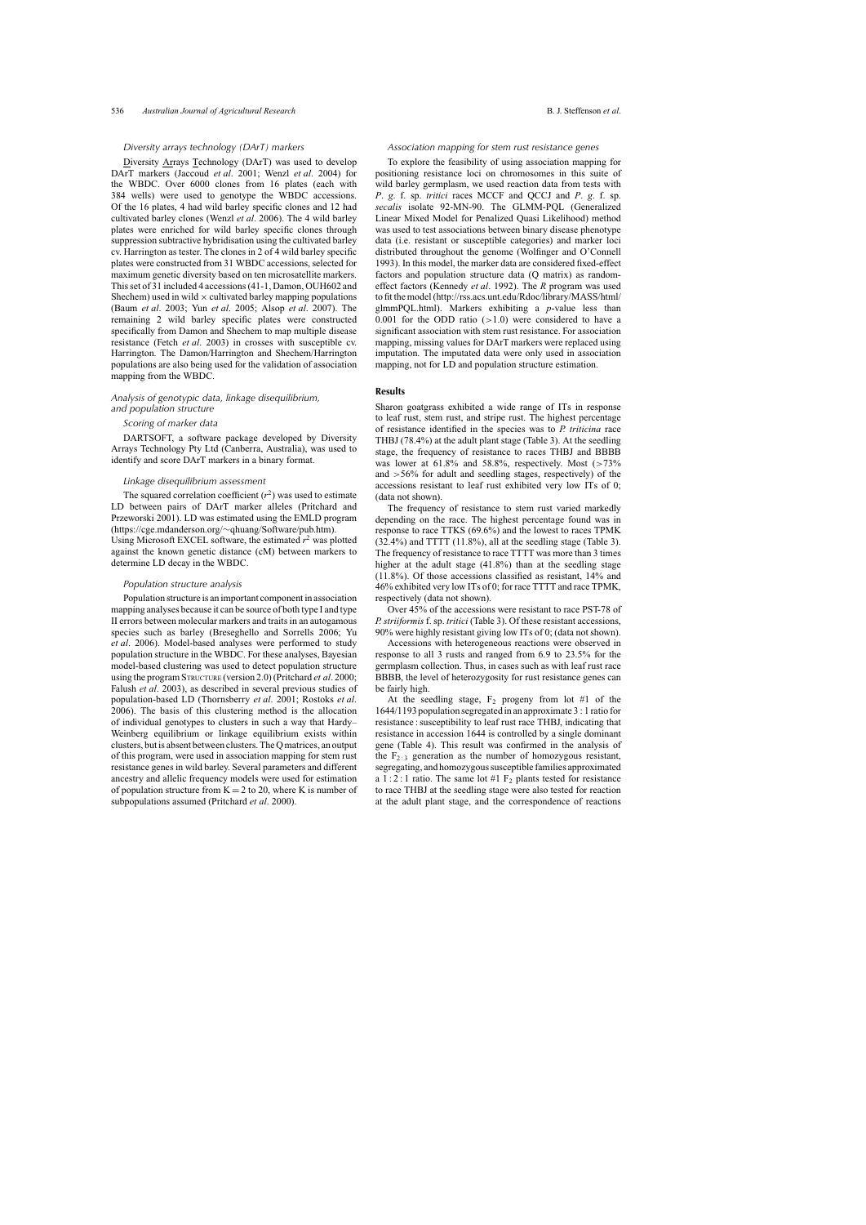#### *Diversity arrays technology (DArT) markers*

Diversity Arrays Technology (DArT) was used to develop DArT markers ([Jaccoud](#page-11-22) *et al*. 2001; [Wenzl](#page-12-5) *et al*. 2004) for the WBDC. Over 6000 clones from 16 plates (each with 384 wells) were used to genotype the WBDC accessions. Of the 16 plates, 4 had wild barley specific clones and 12 had cultivated barley clones ([Wenzl](#page-12-6) *et al*. 2006). The 4 wild barley plates were enriched for wild barley specific clones through suppression subtractive hybridisation using the cultivated barley cv. Harrington as tester. The clones in 2 of 4 wild barley specific plates were constructed from 31 WBDC accessions, selected for maximum genetic diversity based on ten microsatellite markers. Thisset of 31 included 4 accessions(41-1, Damon, OUH602 and Shechem) used in wild  $\times$  cultivated barley mapping populations [\(Baum](#page-10-12) *et al*. 2003; Yun *et al*. [2005;](#page-12-0) [Alsop](#page-10-13) *et al*. 2007). The remaining 2 wild barley specific plates were constructed specifically from Damon and Shechem to map multiple disease resistance (Fetch *et al*. [2003\)](#page-10-9) in crosses with susceptible cv. Harrington. The Damon/Harrington and Shechem/Harrington populations are also being used for the validation of association mapping from the WBDC.

# *Analysis of genotypic data, linkage disequilibrium, and population structure*

# *Scoring of marker data*

DARTSOFT, a software package developed by Diversity Arrays Technology Pty Ltd (Canberra, Australia), was used to identify and score DArT markers in a binary format.

## *Linkage disequilibrium assessment*

The squared correlation coefficient  $(r^2)$  was used to estimate LD between pairs of DArT marker alleles [\(Pritchard](#page-11-23) and Przeworski 2001). LD was estimated using the EMLD program (https://cge.mdanderson.org/∼qhuang/Software/pub.htm). Using Microsoft EXCEL software, the estimated  $r^2$  was plotted against the known genetic distance (cM) between markers to determine LD decay in the WBDC.

#### *Population structure analysis*

Population structure is an important component in association mapping analyses because it can be source of both type I and type II errors between molecular markers and traits in an autogamous species such as barley ([Breseghello](#page-10-14) and Sorrells 2006; Yu *et al*. 2006). Model-based analyses were performed to study population structure in the WBDC. For these analyses, Bayesian model-based clustering was used to detect population structure using the programSTRUCTURE (version 2.0)([Pritchard](#page-11-24) *et al*. 2000; [Falush](#page-10-15) *et al*. 2003), as described in several previous studies of population-based LD ([Thornsberry](#page-12-8) *et al*. 2001; [Rostoks](#page-11-25) *et al*. 2006). The basis of this clustering method is the allocation of individual genotypes to clusters in such a way that Hardy– Weinberg equilibrium or linkage equilibrium exists within clusters, but is absent between clusters.TheQmatrices, an output of this program, were used in association mapping for stem rust resistance genes in wild barley. Several parameters and different ancestry and allelic frequency models were used for estimation of population structure from  $K = 2$  to 20, where K is number of subpopulations assumed ([Pritchard](#page-11-24) *et al*. 2000).

#### *Association mapping for stem rust resistance genes*

To explore the feasibility of using association mapping for positioning resistance loci on chromosomes in this suite of wild barley germplasm, we used reaction data from tests with *P*. *g*. f. sp. *tritici* races MCCF and QCCJ and *P*. *g*. f. sp. *secalis* isolate 92-MN-90. The GLMM-PQL (Generalized Linear Mixed Model for Penalized Quasi Likelihood) method was used to test associations between binary disease phenotype data (i.e. resistant or susceptible categories) and marker loci distributed throughout the genome (Wolfinger and [O'Connell](#page-12-1) 1993). In this model, the marker data are considered fixed-effect factors and population structure data (Q matrix) as randomeffect factors [\(Kennedy](#page-11-26) *et al*. 1992). The *R* program was used to fit themodel(http://rss.acs.unt.edu/Rdoc/library/MASS/html/ glmmPQL.html). Markers exhibiting a *p*-value less than 0.001 for the ODD ratio  $(>1.0)$  were considered to have a significant association with stem rust resistance. For association mapping, missing values for DArT markers were replaced using imputation. The imputated data were only used in association mapping, not for LD and population structure estimation.

#### **Results**

Sharon goatgrass exhibited a wide range of ITs in response to leaf rust, stem rust, and stripe rust. The highest percentage of resistance identified in the species was to *P. triticina* race THBJ (78.4%) at the adult plant stage [\(Table](#page-5-0) 3). At the seedling stage, the frequency of resistance to races THBJ and BBBB was lower at  $61.8\%$  and  $58.8\%$ , respectively. Most ( $>73\%$ and  $>56\%$  for adult and seedling stages, respectively) of the accessions resistant to leaf rust exhibited very low ITs of 0; (data not shown).

The frequency of resistance to stem rust varied markedly depending on the race. The highest percentage found was in response to race TTKS (69.6%) and the lowest to races TPMK (32.4%) and TTTT (11.8%), all at the seedling stage ([Table](#page-5-0) 3). The frequency of resistance to race TTTT was more than 3 times higher at the adult stage (41.8%) than at the seedling stage (11.8%). Of those accessions classified as resistant, 14% and 46% exhibited very low ITs of 0; for race TTTT and race TPMK, respectively (data not shown).

Over 45% of the accessions were resistant to race PST-78 of *P. striiformis* f. sp. *tritici* ([Table](#page-5-0) 3). Of these resistant accessions, [90%](#page-12-7) were highly resistant giving low ITs of 0; (data not shown).

Accessions with heterogeneous reactions were observed in response to all 3 rusts and ranged from 6.9 to 23.5% for the germplasm collection. Thus, in cases such as with leaf rust race BBBB, the level of heterozygosity for rust resistance genes can be fairly high.

At the seedling stage,  $F_2$  progeny from lot #1 of the 1644/1193 population segregated in an approximate 3 : 1 ratio for resistance : susceptibility to leaf rust race THBJ, indicating that resistance in accession 1644 is controlled by a single dominant gene [\(Table](#page-5-1) 4). This result was confirmed in the analysis of the  $F_{2:3}$  generation as the number of homozygous resistant, segregating, and homozygous susceptible families approximated a 1 : 2 : 1 ratio. The same lot  $#1 \text{ F}_2$  plants tested for resistance to race THBJ at the seedling stage were also tested for reaction at the adult plant stage, and the correspondence of reactions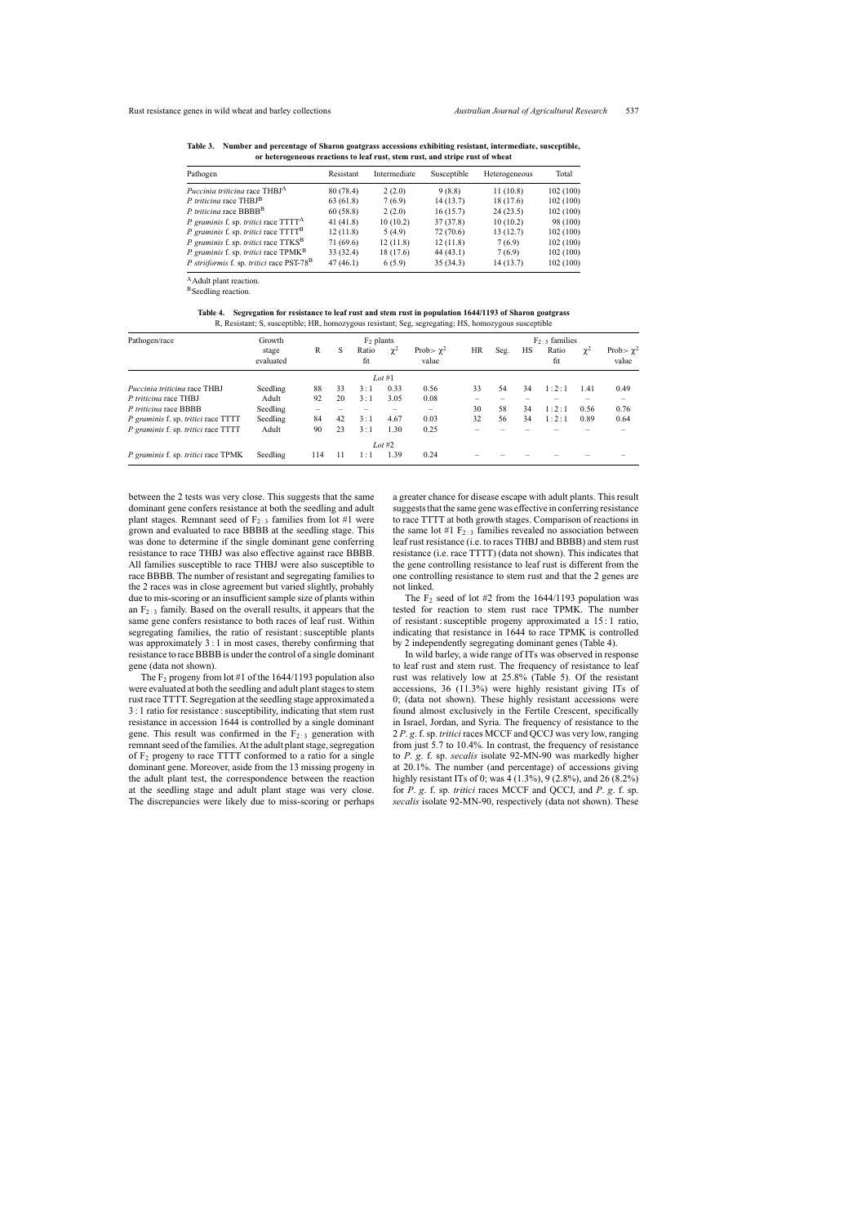| Pathogen                                                        | Resistant | Intermediate | Susceptible | Heterogeneous | Total    |
|-----------------------------------------------------------------|-----------|--------------|-------------|---------------|----------|
| <i>Puccinia triticina</i> race THBJ <sup>A</sup>                | 80 (78.4) | 2(2.0)       | 9(8.8)      | 11(10.8)      | 102(100) |
| P. triticina race THBJ <sup>B</sup>                             | 63(61.8)  | 7(6.9)       | 14(13.7)    | 18 (17.6)     | 102(100) |
| P. triticina race BBBB <sup>B</sup>                             | 60(58.8)  | 2(2.0)       | 16(15.7)    | 24(23.5)      | 102(100) |
| P. graminis f. sp. tritici race TTTT <sup>A</sup>               | 41(41.8)  | 10(10.2)     | 37(37.8)    | 10(10.2)      | 98 (100) |
| <i>P. graminis</i> f. sp. <i>tritici</i> race TTTT <sup>B</sup> | 12(11.8)  | 5(4.9)       | 72(70.6)    | 13(12.7)      | 102(100) |
| P. graminis f. sp. tritici race TTKS <sup>B</sup>               | 71(69.6)  | 12(11.8)     | 12(11.8)    | 7(6.9)        | 102(100) |
| <i>P. graminis</i> f. sp. <i>tritici</i> race TPMK <sup>B</sup> | 33(32.4)  | 18 (17.6)    | 44(43.1)    | 7(6.9)        | 102(100) |
| P. striiformis f. sp. tritici race PST-78 <sup>B</sup>          | 47(46.1)  | 6(5.9)       | 35(34.3)    | 14(13.7)      | 102(100) |

<span id="page-5-0"></span>**Table 3. Number and percentage of Sharon goatgrass accessions exhibiting resistant, intermediate, susceptible, or heterogeneous reactions to leaf rust, stem rust, and stripe rust of wheat**

AAdult plant reaction.

BSeedling reaction.

Table 4. Segregation for resistance to leaf rust and stem rust in population 1644/1193 of Sharon goatgrass R, Resistant; S, susceptible; HR, homozygous resistant; Seg, segregating; HS, homozygous susceptible

<span id="page-5-1"></span>

| Pathogen/race                        | Growth             |     | $F_2$ plants |              |           | $F_2 \rightarrow$ families |    |      |    |              |            |                         |
|--------------------------------------|--------------------|-----|--------------|--------------|-----------|----------------------------|----|------|----|--------------|------------|-------------------------|
|                                      | stage<br>evaluated | R   | S            | Ratio<br>fit | $\chi^2$  | Prob $\chi^2$<br>value     | HR | Seg. | HS | Ratio<br>fit | $\gamma^2$ | Prob> $\chi^2$<br>value |
|                                      |                    |     |              |              | $Lot \#1$ |                            |    |      |    |              |            |                         |
| Puccinia triticina race THBJ         | Seedling           | 88  | 33           | 3:1          | 0.33      | 0.56                       | 33 | 54   | 34 | 1:2:1        | 1.41       | 0.49                    |
| P. triticina race THBJ               | Adult              | 92  | 20           | 3:1          | 3.05      | 0.08                       |    |      |    |              |            |                         |
| P. triticina race BBBB               | Seedling           |     |              |              |           | -                          | 30 | 58   | 34 | 1:2:1        | 0.56       | 0.76                    |
| P. graminis f. sp. tritici race TTTT | Seedling           | 84  | 42           | 3:1          | 4.67      | 0.03                       | 32 | 56   | 34 | 1:2:1        | 0.89       | 0.64                    |
| P. graminis f. sp. tritici race TTTT | Adult              | 90  | 23           | 3:1          | 1.30      | 0.25                       |    |      |    |              |            |                         |
|                                      |                    |     |              |              | Lot #2    |                            |    |      |    |              |            |                         |
| P. graminis f. sp. tritici race TPMK | Seedling           | 114 | 11           | 1 : 1        | 1.39      | 0.24                       |    |      |    |              |            |                         |

between the 2 tests was very close. This suggests that the same dominant gene confers resistance at both the seedling and adult plant stages. Remnant seed of  $F_2$  :  $\alpha$  families from lot #1 were grown and evaluated to race BBBB at the seedling stage. This was done to determine if the single dominant gene conferring resistance to race THBJ was also effective against race BBBB. All families susceptible to race THBJ were also susceptible to race BBBB. The number of resistant and segregating families to the 2 races was in close agreement but varied slightly, probably due to mis-scoring or an insufficient sample size of plants within an  $F_{2:3}$  family. Based on the overall results, it appears that the same gene confers resistance to both races of leaf rust. Within segregating families, the ratio of resistant : susceptible plants was approximately 3 : 1 in most cases, thereby confirming that resistance to race BBBB is under the control of a single dominant gene (data not shown).

The  $F_2$  progeny from lot #1 of the 1644/1193 population also were evaluated at both the seedling and adult plant stages to stem rustrace TTTT. Segregation at the seedling stage approximated a 3 : 1 ratio for resistance : susceptibility, indicating that stem rust resistance in accession 1644 is controlled by a single dominant gene. This result was confirmed in the  $F_{2:3}$  generation with remnant seed of the families. At the adult plant stage, segregation of F2 progeny to race TTTT conformed to a ratio for a single dominant gene. Moreover, aside from the 13 missing progeny in the adult plant test, the correspondence between the reaction at the seedling stage and adult plant stage was very close. The discrepancies were likely due to miss-scoring or perhaps

a greater chance for disease escape with adult plants. This result suggests that the same gene was effective in conferring resistance to race TTTT at both growth stages. Comparison of reactions in the same lot #1  $F_{2:3}$  families revealed no association between leaf rust resistance (i.e. to races THBJ and BBBB) and stem rust resistance (i.e. race TTTT) (data not shown). This indicates that the gene controlling resistance to leaf rust is different from the one controlling resistance to stem rust and that the 2 genes are not linked.

The  $F_2$  seed of lot #2 from the 1644/1193 population was tested for reaction to stem rust race TPMK. The number of resistant : susceptible progeny approximated a  $15:1$  ratio, indicating that resistance in 1644 to race TPMK is controlled by 2 independently segregating dominant genes (Table 4).

In wild barley, a wide range of ITs was observed in response to leaf rust and stem rust. The frequency of resistance to leaf rust was relatively low at 25.8% [\(Table](#page-6-0) 5). Of the resistant accessions, 36 (11.3%) were highly resistant giving ITs of 0; (data not shown). These highly resistant accessions were found almost exclusively in the Fertile Crescent, specifically in Israel, Jordan, and Syria. The frequency of resistance to the 2 *P*. *g*. f.sp. *tritici* races MCCF and QCCJ was very low, ranging from just 5.7 to 10.4%. In contrast, the frequency of resistance to *P*. *g*. f. sp. *secalis* isolate 92-MN-90 was markedly higher at 20.1%. The number (and percentage) of accessions giving highly resistant ITs of 0; was 4 (1.3%), 9 (2.8%), and 26 (8.2%) for *P*. *g*. f. sp. *tritici* races MCCF and QCCJ, and *P*. *g*. f. sp. *secalis* isolate 92-MN-90, respectively (data not shown). These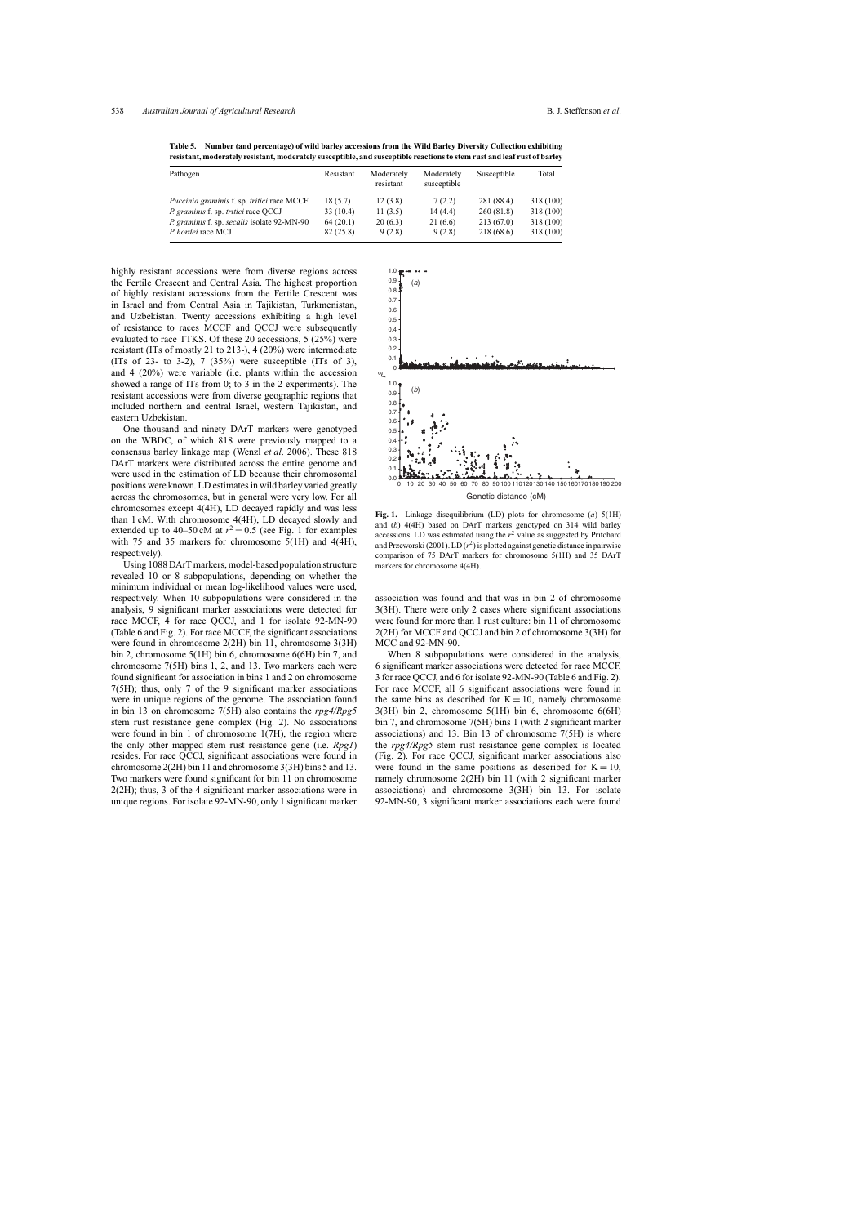| Pathogen                                    | Resistant | Moderately<br>resistant | Moderately<br>susceptible | Susceptible | Total     |
|---------------------------------------------|-----------|-------------------------|---------------------------|-------------|-----------|
| Puccinia graminis f. sp. tritici race MCCF  | 18 (5.7)  | 12(3.8)                 | 7(2.2)                    | 281 (88.4)  | 318 (100) |
| P. graminis f. sp. tritici race QCCJ        | 33(10.4)  | 11(3.5)                 | 14(4.4)                   | 260(81.8)   | 318 (100) |
| P. graminis f. sp. secalis isolate 92-MN-90 | 64(20.1)  | 20(6.3)                 | 21(6.6)                   | 213(67.0)   | 318 (100) |
| P. hordei race MCJ                          | 82(25.8)  | 9(2.8)                  | 9(2.8)                    | 218 (68.6)  | 318 (100) |

<span id="page-6-0"></span>**Table 5. Number (and percentage) of wild barley accessions from the Wild Barley Diversity Collection exhibiting resistant, moderately resistant, moderately susceptible, and susceptible reactionsto stem rust and leaf rust of barley**

<span id="page-6-1"></span>highly resistant accessions were from diverse regions across the Fertile Crescent and Central Asia. The highest proportion of highly resistant accessions from the Fertile Crescent was in Israel and from Central Asia in Tajikistan, Turkmenistan, and Uzbekistan. Twenty accessions exhibiting a high level of resistance to races MCCF and QCCJ were subsequently evaluated to race TTKS. Of these 20 accessions, 5 (25%) were resistant (ITs of mostly 21 to 213-), 4 (20%) were intermediate (ITs of 23- to 3-2), 7  $(35%)$  were susceptible (ITs of 3), and 4 (20%) were variable (i.e. plants within the accession showed a range of ITs from 0; to 3 in the 2 experiments). The resistant accessions were from diverse geographic regions that included northern and central Israel, western Tajikistan, and eastern Uzbekistan.

One thousand and ninety DArT markers were genotyped on the WBDC, of which 818 were previously mapped to a consensus barley linkage map [\(Wenzl](#page-12-6) *et al*. 2006). These 818 DArT markers were distributed across the entire genome and were used in the estimation of LD because their chromosomal positions were known. LD estimatesin wild barley varied greatly across the chromosomes, but in general were very low. For all chromosomes except 4(4H), LD decayed rapidly and was less than 1 cM. With chromosome 4(4H), LD decayed slowly and extended up to 40–50 cM at  $r^2 = 0.5$  (see Fig. 1 for examples with 75 and 35 markers for chromosome 5(1H) and 4(4H), respectively).

Using 1088 DArT markers, model-based population structure revealed 10 or 8 subpopulations, depending on whether the minimum individual or mean log-likelihood values were used, respectively. When 10 subpopulations were considered in the analysis, 9 significant marker associations were detected for race MCCF, 4 for race QCCJ, and 1 for isolate 92-MN-90 [\(Table](#page-7-0) 6 and [Fig.](#page-8-0) 2). For race MCCF, the significant associations were found in chromosome 2(2H) bin 11, chromosome 3(3H) bin 2, chromosome 5(1H) bin 6, chromosome 6(6H) bin 7, and chromosome 7(5H) bins 1, 2, and 13. Two markers each were found significant for association in bins 1 and 2 on chromosome 7(5H); thus, only 7 of the 9 significant marker associations were in unique regions of the genome. The association found in bin 13 on chromosome 7(5H) also contains the *rpg4/Rpg5* stem rust resistance gene complex [\(Fig.](#page-8-0) 2). No associations were found in bin 1 of chromosome 1(7H), the region where the only other mapped stem rust resistance gene (i.e. *Rpg1*) resides. For race QCCJ, significant associations were found in chromosome 2(2H) bin 11 and chromosome 3(3H) bins 5 and 13. Two markers were found significant for bin 11 on chromosome 2(2H); thus, 3 of the 4 significant marker associations were in unique regions. For isolate 92-MN-90, only 1 significant marker



**Fig. 1.** Linkage disequilibrium (LD) plots for chromosome (*a*) 5(1H) and (*b*) 4(4H) based on DArT markers genotyped on 314 wild barley accessions. LD was estimated using the  $r^2$  value as suggested by [Pritchard](#page-11-23) and Przeworski (2001). LD  $(r^2)$  is plotted against genetic distance in pairwise comparison of 75 DArT markers for chromosome 5(1H) and 35 DArT markers for chromosome 4(4H).

association was found and that was in bin 2 of chromosome 3(3H). There were only 2 cases where significant associations were found for more than 1 rust culture: bin 11 of chromosome 2(2H) for MCCF and QCCJ and bin 2 of chromosome 3(3H) for MCC and 92-MN-90.

When 8 subpopulations were considered in the analysis, 6 significant marker associations were detected for race MCCF, 3 for race QCCJ, and 6 for isolate 92-MN-90 ([Table](#page-7-0) 6 and [Fig.](#page-8-0) 2). For race MCCF, all 6 significant associations were found in the same bins as described for  $K = 10$ , namely chromosome 3(3H) bin 2, chromosome 5(1H) bin 6, chromosome 6(6H) bin 7, and chromosome 7(5H) bins 1 (with 2 significant marker associations) and 13. Bin 13 of chromosome 7(5H) is where the *rpg4/Rpg5* stem rust resistance gene complex is located [\(Fig.](#page-8-0) 2). For race QCCJ, significant marker associations also were found in the same positions as described for  $K = 10$ , namely chromosome 2(2H) bin 11 (with 2 significant marker associations) and chromosome 3(3H) bin 13. For isolate 92-MN-90, 3 significant marker associations each were found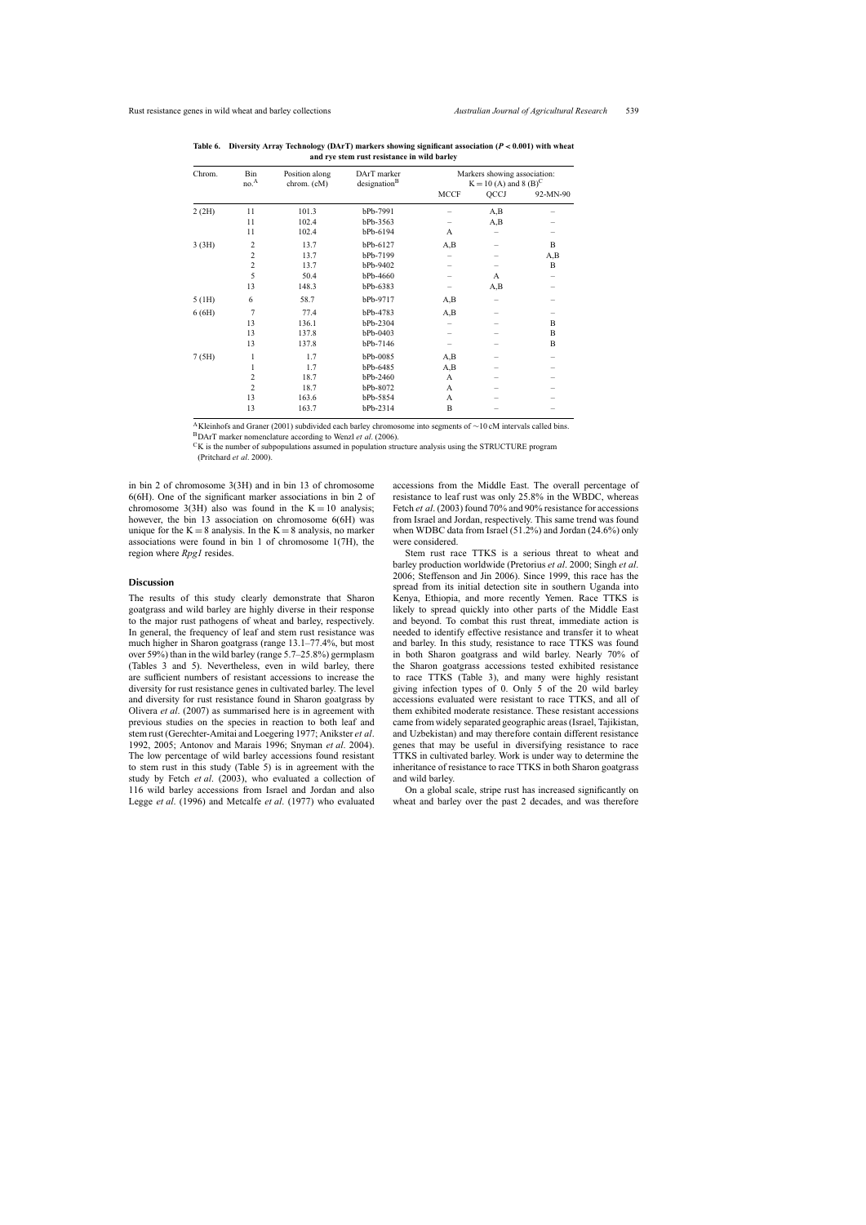| Chrom. | Bin<br>no. <sup>A</sup> | Position along<br>chrom. (cM) | DArT marker<br>designation <sup>B</sup> | Markers showing association:<br>$K = 10$ (A) and 8 (B) <sup>C</sup> |      |          |  |  |
|--------|-------------------------|-------------------------------|-----------------------------------------|---------------------------------------------------------------------|------|----------|--|--|
|        |                         |                               |                                         | <b>MCCF</b>                                                         | QCCJ | 92-MN-90 |  |  |
| 2(2H)  | 11                      | 101.3                         | bPb-7991                                |                                                                     | A,B  |          |  |  |
|        | 11                      | 102.4                         | bPb-3563                                |                                                                     | A,B  |          |  |  |
|        | 11                      | 102.4                         | bPb-6194                                | A                                                                   |      |          |  |  |
| 3(3H)  | $\overline{2}$          | 13.7                          | bPb-6127                                | A, B                                                                |      | B        |  |  |
|        | $\overline{2}$          | 13.7                          | bPb-7199                                |                                                                     |      | A,B      |  |  |
|        | $\overline{2}$          | 13.7                          | bPb-9402                                |                                                                     |      | B        |  |  |
|        | 5                       | 50.4                          | bPb-4660                                |                                                                     | A    |          |  |  |
|        | 13                      | 148.3                         | bPb-6383                                |                                                                     | A,B  |          |  |  |
| 5(H)   | 6                       | 58.7                          | bPb-9717                                | A,B                                                                 |      |          |  |  |
| 6(6H)  | 7                       | 77.4                          | bPb-4783                                | A,B                                                                 |      |          |  |  |
|        | 13                      | 136.1                         | bPb-2304                                |                                                                     |      | B        |  |  |
|        | 13                      | 137.8                         | bPb-0403                                |                                                                     |      | B        |  |  |
|        | 13                      | 137.8                         | bPb-7146                                |                                                                     |      | B        |  |  |
| 7(5H)  | 1                       | 1.7                           | bPb-0085                                | A, B                                                                |      |          |  |  |
|        | 1                       | 1.7                           | bPb-6485                                | A,B                                                                 |      |          |  |  |
|        | $\overline{2}$          | 18.7                          | bPb-2460                                | A                                                                   |      |          |  |  |
|        | $\overline{2}$          | 18.7                          | bPb-8072                                | A                                                                   |      |          |  |  |
|        | 13                      | 163.6                         | bPb-5854                                | A                                                                   |      |          |  |  |
|        | 13                      | 163.7                         | bPb-2314                                | B                                                                   |      |          |  |  |

<span id="page-7-0"></span>**Table 6. Diversity Array Technology (DArT) markers showing significant association (***P* < **0.001) with wheat and rye stem rust resistance in wild barley**

A[Kleinhofs](#page-11-23) and Graner (2001) subdivided each barley chromosome into segments of <sup>∼</sup><sup>10</sup> cM intervals called bins. BDArT marker nomenclature according to Wenzl *et al*. [\(2006\).](#page-12-6)

 ${}^{\text{C}}\text{K}$  is the number of subpopulations assumed in population structure analysis using the STRUCTURE program

[\(Pritchard](#page-11-24) *et al*. 2000).

in bin 2 of chromosome 3(3H) and in bin 13 of chromosome 6(6H). One of the significant marker associations in bin 2 of chromosome 3(3H) also was found in the  $K = 10$  analysis; however, the bin 13 association on chromosome  $6(6H)$  was unique for the  $K = 8$  analysis. In the  $K = 8$  analysis, no marker associations were found in bin 1 of chromosome 1(7H), the region where *Rpg1* resides.

## **Discussion**

The results of this study clearly demonstrate that Sharon goatgrass and wild barley are highly diverse in their response to the major rust pathogens of wheat and barley, respectively. In general, the frequency of leaf and stem rust resistance was much higher in Sharon goatgrass (range 13.1–77.4%, but most over 59%) than in the wild barley (range 5.7–25.8%) germplasm [\(Tables](#page-5-0) 3 and 5). Nevertheless, even in wild barley, there are sufficient numbers of resistant accessions to increase the diversity for rust resistance genes in cultivated barley. The level and diversity for rust resistance found in Sharon goatgrass by [Olivera](#page-11-18) *et al*. (2007) as summarised here is in agreement with previous studies on the species in reaction to both leaf and stem rust ([Gerechter-Amitai](#page-11-15) and Loegering 1977; [Anikster](#page-10-5) *et al*. 1992, [2005;](#page-10-6) [Antonov](#page-10-7) and Marais 1996; [Snyman](#page-12-6) *et al*. 2004). The low percentage of wild barley accessions found resistant to stem rust in this study ([Table](#page-6-0) 5) is in agreement with the study by Fetch *et al*. [\(2003\),](#page-10-9) who evaluated a collection of 116 wild barley accessions from Israel and Jordan and also Legge *et al*. [\(1996\)](#page-11-27) and [Metcalfe](#page-11-7) *et al*. (1977) who evaluated

accessions from the Middle East. The overall percentage of resistance to leaf rust was only 25.8% in the WBDC, whereas Fetch *et al*. [\(2003\)](#page-10-9) found 70% and 90% resistance for accessions from Israel and Jordan, respectively. This same trend was found when WDBC data from Israel (51.2%) and Jordan (24.6%) only were considered.

Stem rust race TTKS is a serious threat to wheat and barley production worldwide ([Pretorius](#page-11-4) *et al*. 2000; [Singh](#page-11-6) *et al*. 2006; [Steffenson](#page-12-1) and Jin 2006). Since 1999, this race has the spread from its initial detection site in southern Uganda into Kenya, Ethiopia, and more recently Yemen. Race TTKS is likely to spread quickly into other parts of the Middle East and beyond. To combat this rust threat, immediate action is needed to identify effective resistance and transfer it to wheat and barley. In this study, resistance to race TTKS was found in both Sharon goatgrass and wild barley. Nearly 70% of the Sharon goatgrass accessions tested exhibited resistance to race TTKS ([Table](#page-5-0) 3), and many were highly resistant giving infection types of 0. Only 5 of the 20 wild barley accessions evaluated were resistant to race TTKS, and all of them exhibited moderate resistance. These resistant accessions came from widely separated geographic areas(Israel, Tajikistan, and Uzbekistan) and may therefore contain different resistance genes that may be useful in diversifying resistance to race TTKS in cultivated barley. Work is under way to determine the inheritance of resistance to race TTKS in both Sharon goatgrass and wild barley.

On a global scale, stripe rust has increased significantly on wheat and barley over the past 2 decades, and was therefore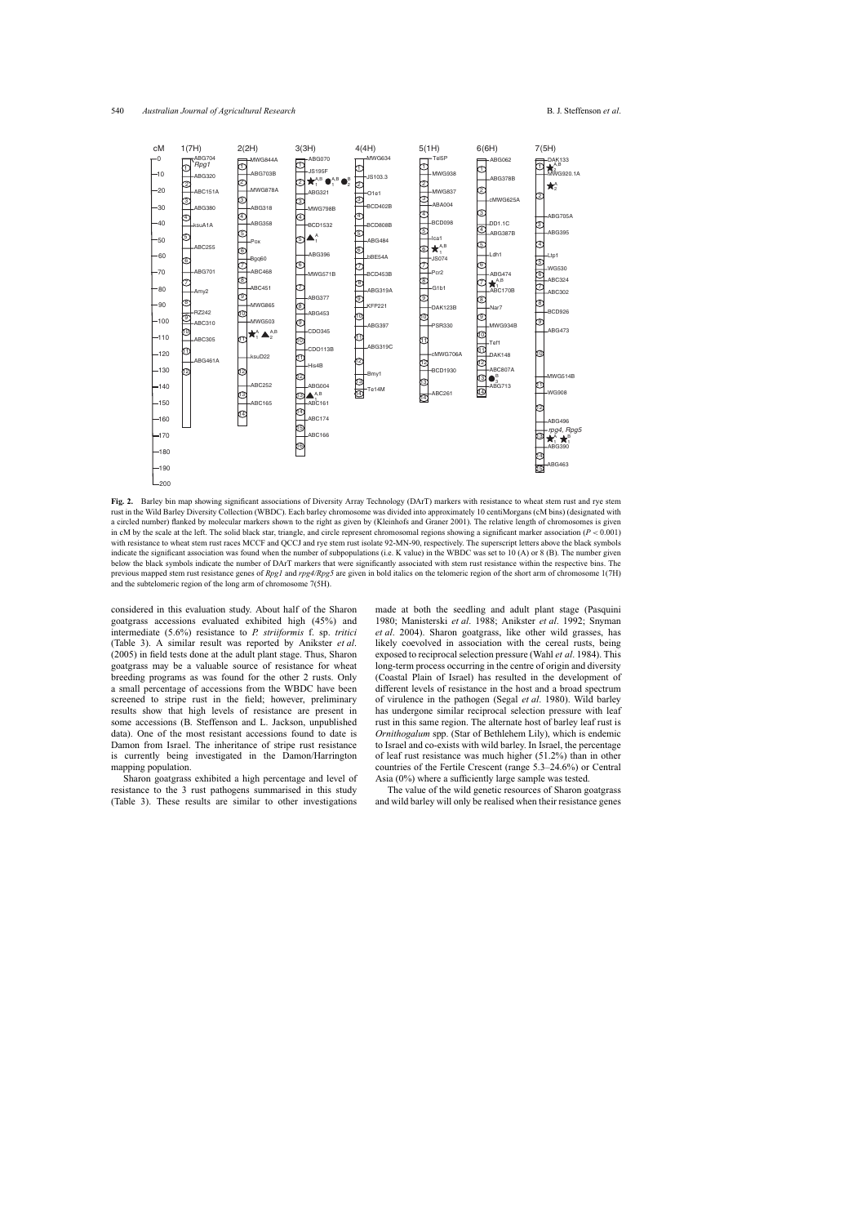<span id="page-8-0"></span>

**Fig. 2.** Barley bin map showing significant associations of Diversity Array Technology (DArT) markers with resistance to wheat stem rust and rye stem rust in the Wild Barley Diversity Collection (WBDC). Each barley chromosome was divided into approximately 10 centiMorgans (cM bins) (designated with a circled number) flanked by molecular markers shown to the right as given by [\(Kleinhofs](#page-11-23) and Graner 2001). The relative length of chromosomes is given in cM by the scale at the left. The solid black star, triangle, and circle represent chromosomal regions showing a significant marker association  $(P < 0.001)$ with resistance to wheat stem rust races MCCF and QCCJ and rye stem rust isolate 92-MN-90, respectively. The superscript letters above the black symbols indicate the significant association was found when the number of subpopulations (i.e. K value) in the WBDC was set to 10 (A) or 8 (B). The number given below the black symbols indicate the number of DArT markers that were significantly associated with stem rust resistance within the respective bins. The previous mapped stem rust resistance genes of *Rpg1* and *rpg4/Rpg5* are given in bold italics on the telomeric region of the short arm of chromosome 1(7H) and the subtelomeric region of the long arm of chromosome 7(5H).

considered in this evaluation study. About half of the Sharon goatgrass accessions evaluated exhibited high (45%) and intermediate (5.6%) resistance to *P. striiformis* f. sp. *tritici* [\(Table](#page-5-0) 3). A similar result was reported by [Anikster](#page-10-6) *et al*. (2005) in field tests done at the adult plant stage. Thus, Sharon goatgrass may be a valuable source of resistance for wheat breeding programs as was found for the other 2 rusts. Only a small percentage of accessions from the WBDC have been screened to stripe rust in the field; however, preliminary results show that high levels of resistance are present in some accessions (B. Steffenson and L. Jackson, unpublished data). One of the most resistant accessions found to date is Damon from Israel. The inheritance of stripe rust resistance is currently being investigated in the Damon/Harrington mapping population.

Sharon goatgrass exhibited a high percentage and level of resistance to the 3 rust pathogens summarised in this study [\(Table](#page-5-0) 3). These results are similar to other investigations made at both the seedling and adult plant stage ([Pasquini](#page-11-8) 1980; [Manisterski](#page-11-11) *et al*. 1988; [Anikster](#page-10-5) *et al*. 1992; [Snyman](#page-12-6) *et al*. 2004). Sharon goatgrass, like other wild grasses, has likely coevolved in association with the cereal rusts, being exposed to reciprocalselection pressure (Wahl *et al*. [1984\).](#page-12-9) This long-term process occurring in the centre of origin and diversity (Coastal Plain of Israel) has resulted in the development of different levels of resistance in the host and a broad spectrum of virulence in the pathogen (Segal *et al*. [1980\)](#page-11-27). Wild barley has undergone similar reciprocal selection pressure with leaf rust in this same region. The alternate host of barley leaf rust is *Ornithogalum* spp. (Star of Bethlehem Lily), which is endemic to Israel and co-exists with wild barley. In Israel, the percentage of leaf rust resistance was much higher (51.2%) than in other countries of the Fertile Crescent (range 5.3–24.6%) or Central Asia (0%) where a sufficiently large sample was tested.

The value of the wild genetic resources of Sharon goatgrass and wild barley will only be realised when their resistance genes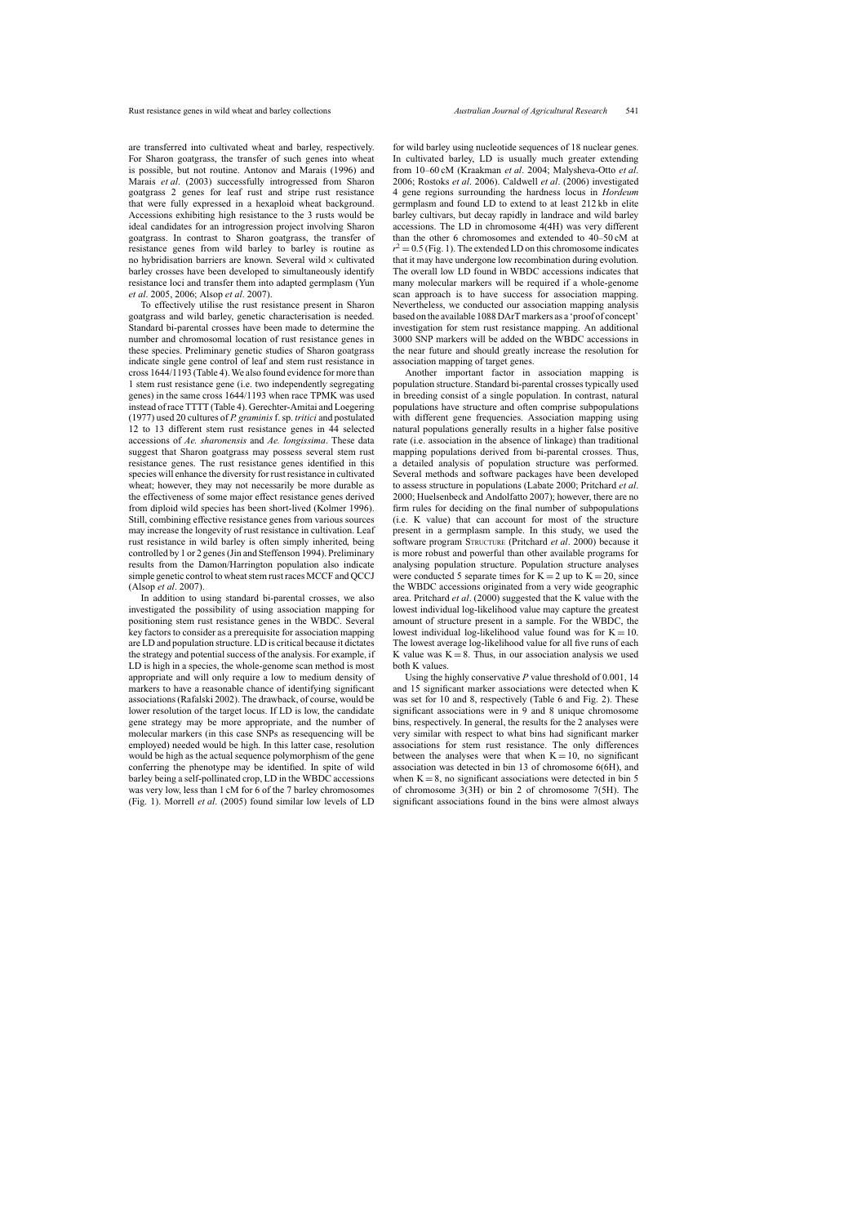are transferred into cultivated wheat and barley, respectively. For Sharon goatgrass, the transfer of such genes into wheat is possible, but not routine. [Antonov](#page-10-7) and Marais (1996) and [Marais](#page-11-9) *et al*. (2003) successfully introgressed from Sharon goatgrass 2 genes for leaf rust and stripe rust resistance that were fully expressed in a hexaploid wheat background. Accessions exhibiting high resistance to the 3 rusts would be ideal candidates for an introgression project involving Sharon goatgrass. In contrast to Sharon goatgrass, the transfer of resistance genes from wild barley to barley is routine as no hybridisation barriers are known. Several wild  $\times$  cultivated barley crosses have been developed to simultaneously identify resistance loci and transfer them into adapted germplasm (Yun *et al*. 2005, [2006;](#page-12-10) Alsop *et al*. [2007\).](#page-10-13)

To effectively utilise the rust resistance present in Sharon goatgrass and wild barley, genetic characterisation is needed. Standard bi-parental crosses have been made to determine the number and chromosomal location of rust resistance genes in these species. Preliminary genetic studies of Sharon goatgrass indicate single gene control of leaf and stem rust resistance in cross 1644/1193 [\(Table](#page-5-1) 4). We also found evidence for more than 1 stem rust resistance gene (i.e. two independently segregating genes) in the same cross 1644/1193 when race TPMK was used instead ofrace TTTT [\(Table](#page-5-1) 4). [Gerechter-Amitai](#page-11-15) and Loegering (1977) used 20 cultures of *P. graminis*f.sp. *tritici* and postulated 12 to 13 different stem rust resistance genes in 44 selected accessions of *Ae. sharonensis* and *Ae. longissima*. These data suggest that Sharon goatgrass may possess several stem rust resistance genes. The rust resistance genes identified in this species will enhance the diversity for rust resistance in cultivated wheat; however, they may not necessarily be more durable as the effectiveness of some major effect resistance genes derived from diploid wild species has been short-lived [\(Kolmer](#page-11-0) 1996). Still, combining effective resistance genes from various sources may increase the longevity of rust resistance in cultivation. Leaf rust resistance in wild barley is often simply inherited, being controlled by 1 or 2 genes(Jin and [Steffenson](#page-11-28) 1994). Preliminary results from the Damon/Harrington population also indicate simple genetic control to wheat stem rust races MCCF and QCCJ (Alsop *et al*. [2007\).](#page-10-13)

In addition to using standard bi-parental crosses, we also investigated the possibility of using association mapping for positioning stem rust resistance genes in the WBDC. Several key factors to consider as a prerequisite for association mapping are LD and population structure. LD is critical because it dictates the strategy and potential success of the analysis. For example, if LD is high in a species, the whole-genome scan method is most appropriate and will only require a low to medium density of markers to have a reasonable chance of identifying significant associations([Rafalski](#page-11-1) 2002). The drawback, of course, would be lower resolution of the target locus. If LD is low, the candidate gene strategy may be more appropriate, and the number of molecular markers (in this case SNPs as resequencing will be employed) needed would be high. In this latter case, resolution would be high as the actual sequence polymorphism of the gene conferring the phenotype may be identified. In spite of wild barley being a self-pollinated crop, LD in the WBDC accessions was very low, less than 1 cM for 6 of the 7 barley chromosomes [\(Fig.](#page-6-1) 1). [Morrell](#page-11-29) *et al*. (2005) found similar low levels of LD

for wild barley using nucleotide sequences of 18 nuclear genes. In cultivated barley, LD is usually much greater extending from 10–60 cM [\(Kraakman](#page-11-30) *et al*. 2004; [Malysheva-Otto](#page-11-31) *et al*. 2006; [Rostoks](#page-11-25) *et al*. 2006). [Caldwell](#page-10-16) *et al*. (2006) investigated 4 gene regions surrounding the hardness locus in *Hordeum* germplasm and found LD to extend to at least 212 kb in elite barley cultivars, but decay rapidly in landrace and wild barley accessions. The LD in chromosome 4(4H) was very different than the other 6 chromosomes and extended to 40–50 cM at  $r^2$  = 0.5 ([Fig.](#page-6-1) 1). The extended LD on this chromosome indicates that it may have undergone low recombination during evolution. The overall low LD found in WBDC accessions indicates that [many](#page-12-0) molecular markers will be required if a whole-genome scan approach is to have success for association mapping. Nevertheless, we conducted our association mapping analysis based on the available 1088 DArT markers as a 'proof of concept' investigation for stem rust resistance mapping. An additional 3000 SNP markers will be added on the WBDC accessions in the near future and should greatly increase the resolution for association mapping of target genes.

Another important factor in association mapping is population structure. Standard bi-parental crosses typically used in breeding consist of a single population. In contrast, natural populations have structure and often comprise subpopulations with different gene frequencies. Association mapping using natural populations generally results in a higher false positive rate (i.e. association in the absence of linkage) than traditional mapping populations derived from bi-parental crosses. Thus, a detailed analysis of population structure was performed. Several methods and software packages have been developed to assess structure in populations ([Labate](#page-11-32) 2000; [Pritchard](#page-11-24) *et al*. 2000; [Huelsenbeck](#page-11-33) and Andolfatto 2007); however, there are no firm rules for deciding on the final number of subpopulations (i.e. K value) that can account for most of the structure present in a germplasm sample. In this study, we used the software program STRUCTURE [\(Pritchard](#page-11-24) *et al*. 2000) because it is more robust and powerful than other available programs for analysing population structure. Population structure analyses were conducted 5 separate times for  $K = 2$  up to  $K = 20$ , since the WBDC accessions originated from a very wide geographic area. [Pritchard](#page-11-24) *et al*. (2000) suggested that the K value with the lowest individual log-likelihood value may capture the greatest amount of structure present in a sample. For the WBDC, the lowest individual log-likelihood value found was for  $K = 10$ . The lowest average log-likelihood value for all five runs of each K value was  $K = 8$ . Thus, in our association analysis we used both K values.

Using the highly conservative *P* value threshold of 0.001, 14 and 15 significant marker associations were detected when K was set for 10 and 8, respectively ([Table](#page-7-0) 6 and [Fig.](#page-8-0) 2). These significant associations were in 9 and 8 unique chromosome bins, respectively. In general, the results for the 2 analyses were very similar with respect to what bins had significant marker associations for stem rust resistance. The only differences between the analyses were that when  $K = 10$ , no significant association was detected in bin 13 of chromosome 6(6H), and when  $K = 8$ , no significant associations were detected in bin 5 of chromosome 3(3H) or bin 2 of chromosome 7(5H). The significant associations found in the bins were almost always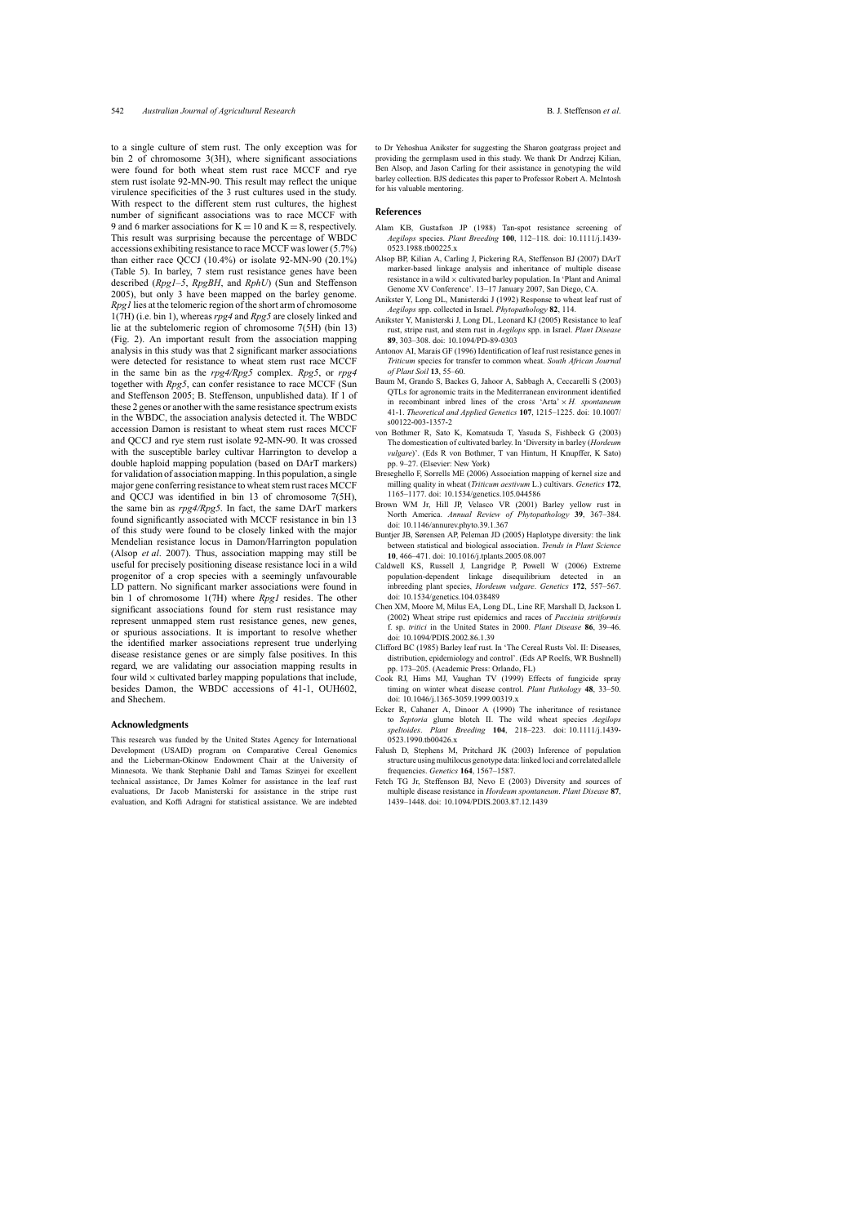<span id="page-10-13"></span><span id="page-10-12"></span><span id="page-10-8"></span><span id="page-10-7"></span><span id="page-10-6"></span><span id="page-10-5"></span><span id="page-10-4"></span>to a single culture of stem rust. The only exception was for bin 2 of chromosome 3(3H), where significant associations were found for both wheat stem rust race MCCF and rye stem rust isolate 92-MN-90. This result may reflect the unique virulence specificities of the 3 rust cultures used in the study. With respect to the different stem rust cultures, the highest number of significant associations was to race MCCF with 9 and 6 marker associations for  $K = 10$  and  $K = 8$ , respectively. This result was surprising because the percentage of WBDC accessions exhibiting resistance to race MCCF waslower (5.7%) than either race QCCJ (10.4%) or isolate 92-MN-90 (20.1%) [\(Table](#page-6-0) 5). In barley, 7 stem rust resistance genes have been described (*Rpg1–5*, *RpgBH*, and *RphU*) (Sun and [Steffenson](#page-12-4) 2005), but only 3 have been mapped on the barley genome. *Rpg1* lies at the telomeric region of the short arm of chromosome 1(7H) (i.e. bin 1), whereas *rpg4* and *Rpg5* are closely linked and lie at the subtelomeric region of chromosome 7(5H) (bin 13) [\(Fig.](#page-8-0) 2). An important result from the association mapping analysis in this study was that 2 significant marker associations were detected for resistance to wheat stem rust race MCCF in the same bin as the *rpg4/Rpg5* complex. *Rpg5*, or *rpg4* together with *Rpg5*, can confer resistance to race MCCF (Sun and Steffenson 2005; B. Steffenson, unpublished data). If 1 of these 2 genes or another with the same resistance spectrum exists in the WBDC, the association analysis detected it. The WBDC accession Damon is resistant to wheat stem rust races MCCF and QCCJ and rye stem rust isolate 92-MN-90. It was crossed with the susceptible barley cultivar Harrington to develop a double haploid mapping population (based on DArT markers) for validation of association mapping. In this population, a single major gene conferring resistance to wheat stem rust races MCCF and QCCJ was identified in bin 13 of chromosome 7(5H), the same bin as *rpg4/Rpg5*. In fact, the same DArT markers found significantly associated with MCCF resistance in bin 13 of this study were found to be closely linked with the major Mendelian resistance locus in Damon/Harrington population (Alsop *et al*. 2007). Thus, association mapping may still be useful for precisely positioning disease resistance loci in a wild progenitor of a crop species with a seemingly unfavourable LD pattern. No significant marker associations were found in bin 1 of chromosome 1(7H) where *Rpg1* resides. The other significant associations found for stem rust resistance may represent unmapped stem rust resistance genes, new genes, or spurious associations. It is important to resolve whether the identified marker associations represent true underlying disease resistance genes or are simply false positives. In this regard, we are validating our association mapping results in four wild  $\times$  cultivated barley mapping populations that include, besides Damon, the WBDC accessions of 41-1, OUH602, and Shechem.

#### <span id="page-10-16"></span><span id="page-10-15"></span><span id="page-10-14"></span><span id="page-10-11"></span><span id="page-10-10"></span><span id="page-10-3"></span><span id="page-10-2"></span><span id="page-10-1"></span><span id="page-10-0"></span>**Acknowledgments**

<span id="page-10-9"></span>This research was funded by the United States Agency for International Development (USAID) program on Comparative Cereal Genomics and the Lieberman-Okinow Endowment Chair at the University of Minnesota. We thank Stephanie Dahl and Tamas Szinyei for excellent technical assistance, Dr James Kolmer for assistance in the leaf rust evaluations, Dr Jacob Manisterski for assistance in the stripe rust evaluation, and Koffi Adragni for statistical assistance. We are indebted to Dr Yehoshua Anikster for suggesting the Sharon goatgrass project and providing the germplasm used in this study. We thank Dr Andrzej Kilian, Ben Alsop, and Jason Carling for their assistance in genotyping the wild barley collection. BJS dedicates this paper to Professor Robert A. McIntosh for his valuable mentoring.

#### **References**

- Alam KB, Gustafson JP (1988) Tan-spot resistance screening of *Aegilops* species. *Plant Breeding* **100**, 112–118. doi: 10.1111/j.1439- 0523.1988.tb00225.x
- Alsop BP, Kilian A, Carling J, Pickering RA, Steffenson BJ (2007) DArT marker-based linkage analysis and inheritance of multiple disease resistance in a wild  $\times$  cultivated barley population. In 'Plant and Animal Genome XV Conference'. 13–17 January 2007, San Diego, CA.
- Anikster Y, Long DL, Manisterski J (1992) Response to wheat leaf rust of *Aegilops* spp. collected in Israel. *Phytopathology* **82**, 114.
- Anikster Y, Manisterski J, Long DL, Leonard KJ (2005) Resistance to leaf rust, stripe rust, and stem rust in *Aegilops* spp. in Israel. *Plant Disease* **89**, 303–308. doi: 10.1094/PD-89-0303
- Antonov AI, Marais GF (1996) Identification of leaf rust resistance genes in *Triticum* species for transfer to common wheat. *South African Journal of Plant Soil* **13**, 55–60.
- Baum M, [Grando](#page-12-4) S, Backes G, Jahoor A, Sabbagh A, Ceccarelli S (2003) QTLs for agronomic traits in the Mediterranean environment identified in recombinant inbred lines of the cross 'Arta' × *H. spontaneum* 41-1. *Theoretical and Applied Genetics* **107**, 1215–1225. doi: 10.1007/ s00122-003-1357-2
- von Bothmer R, Sato K, Komatsuda T, Yasuda S, Fishbeck G (2003) The domestication of cultivated barley. In 'Diversity in barley (*Hordeum vulgare*)'. (Eds R von Bothmer, T van Hintum, H Knupffer, K Sato) pp. 9–27. (Elsevier: New York)
- Breseghello F, Sorrells ME (2006) Association mapping of kernel size and milling quality in wheat (*Triticum aestivum* L.) cultivars. *Genetics* **172**, 1165–1177. doi: 10.1534/genetics.105.044586
- Brown WM Jr, Hill JP, Velasco VR (2001) Barley yellow rust in North America. *Annual Review of Phytopathology* **39**, 367–384. doi: 10.1146/annurev.phyto.39.1.367
- Buntjer JB, Sørensen AP, Peleman JD (2005) Haplotype diversity: the link between statistical and biological association. *Trends in Plant Science* **10**, 466–471. doi: 10.1016/j.tplants.2005.08.007
- Caldwell KS, Russell J, Langridge P, Powell W (2006) Extreme population-dependent linkage disequilibrium detected in an inbreeding plant species, *Hordeum vulgare*. *Genetics* **172**, 557–567. doi: 10.1534/genetics.104.038489
- Chen XM, Moore M, Milus EA, Long DL, Line RF, Marshall D, Jackson L (2002) Wheat stripe rust epidemics and races of *Puccinia striiformis* f. sp. *tritici* in the United States in 2000. *Plant Disease* **86**, 39–46. doi: 10.1094/PDIS.2002.86.1.39
- Clifford BC (1985) Barley leaf rust. In 'The Cereal Rusts Vol. II: Diseases, distribution, epidemiology and control'. (Eds AP Roelfs, WR Bushnell) pp. 173–205. (Academic Press: Orlando, FL)
- Cook RJ, Hims MJ, Vaughan TV (1999) Effects of fungicide spray timing on winter wheat disease control. *Plant Pathology* **48**, 33–50. doi: 10.1046/j.1365-3059.1999.00319.x
- Ecker R, Cahaner A, Dinoor A (1990) The inheritance of resistance to *Septoria* glume blotch II. The wild wheat species *Aegilops speltoides*. *Plant Breeding* **104**, 218–223. doi: 10.1111/j.1439- 0523.1990.tb00426.x
- Falush D, Stephens M, Pritchard JK (2003) Inference of population structure usingmultilocus genotype data: linked loci and correlated allele frequencies. *Genetics* **164**, 1567–1587.
- Fetch TG Jr, Steffenson BJ, Nevo E (2003) Diversity and sources of multiple disease resistance in *Hordeum spontaneum*. *Plant Disease* **87**, 1439–1448. doi: 10.1094/PDIS.2003.87.12.1439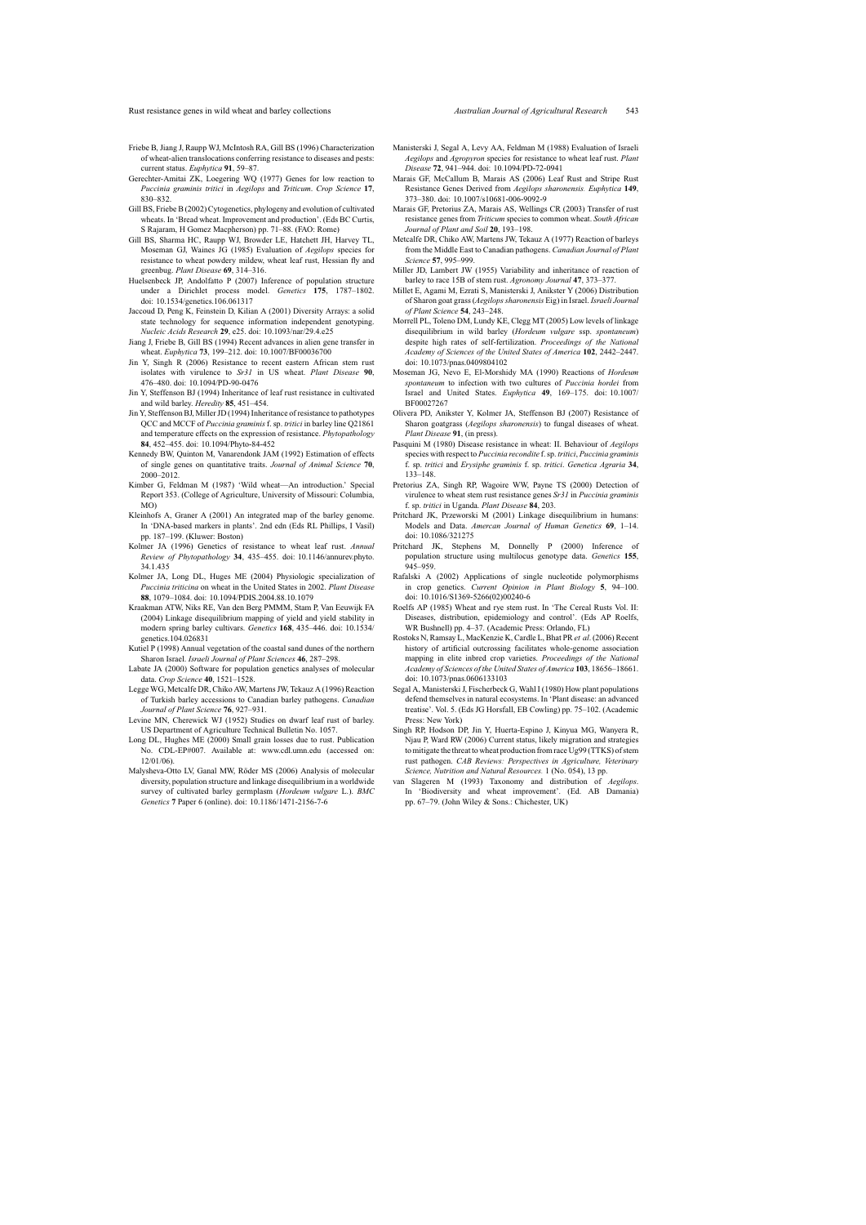- <span id="page-11-16"></span><span id="page-11-15"></span><span id="page-11-11"></span>Friebe B, Jiang J, Raupp WJ, McIntosh RA, Gill BS (1996) Characterization of wheat-alien translocations conferring resistance to diseases and pests: current status. *Euphytica* **91**, 59–87.
- <span id="page-11-9"></span>Gerechter-Amitai ZK, Loegering WQ (1977) Genes for low reaction to *Puccinia graminis tritici* in *Aegilops* and *Triticum*. *Crop Science* **17**, 830–832.
- <span id="page-11-7"></span>Gill BS, Friebe B (2002) Cytogenetics, phylogeny and evolution of cultivated wheats. In 'Bread wheat. Improvement and production'. (Eds BC Curtis, S Rajaram, H Gomez Macpherson) pp. 71–88. (FAO: Rome)
- <span id="page-11-33"></span><span id="page-11-21"></span>Gill BS, Sharma HC, Raupp WJ, Browder LE, Hatchett JH, Harvey TL, Moseman GJ, Waines JG (1985) Evaluation of *Aegilops* species for resistance to wheat powdery mildew, wheat leaf rust, Hessian fly and greenbug. *Plant Disease* **69**, 314–316.
- <span id="page-11-22"></span><span id="page-11-14"></span>Huelsenbeck JP, Andolfatto P (2007) Inference of population structure under a Dirichlet process model. *Genetics* **175**, 1787–1802. doi: 10.1534/genetics.106.061317
- <span id="page-11-29"></span><span id="page-11-12"></span>Jaccoud D, Peng K, Feinstein D, Kilian A (2001) Diversity Arrays: a solid state technology for sequence information independent genotyping. *Nucleic Acids Research* **29**, e25. doi: 10.1093/nar/29.4.e25
- <span id="page-11-17"></span><span id="page-11-5"></span>Jiang J, Friebe B, Gill BS (1994) Recent advances in alien gene transfer in wheat. *Euphytica* **73**, 199–212. doi: 10.1007/BF00036700
- <span id="page-11-28"></span>Jin Y, Singh R (2006) Resistance to recent eastern African stem rust isolates with virulence to *Sr31* in US wheat. *Plant Disease* **90**, 476–480. doi: 10.1094/PD-90-0476
- <span id="page-11-19"></span><span id="page-11-18"></span>Jin Y, Steffenson BJ (1994) Inheritance of leaf rust resistance in cultivated and wild barley. *Heredity* **85**, 451–454.
- <span id="page-11-26"></span><span id="page-11-8"></span>Jin Y, Steffenson BJ, Miller JD (1994) Inheritance of resistance to pathotypes QCC and MCCF of *Puccinia graminis* f. sp. *tritici* in barley line Q21861 and temperature effects on the expression of resistance. *Phytopathology* **84**, 452–455. doi: 10.1094/Phyto-84-452
- <span id="page-11-4"></span>Kennedy BW, Quinton M, Vanarendonk JAM (1992) Estimation of effects of single genes on quantitative traits. *Journal of Animal Science* **70**, 2000–2012.
- <span id="page-11-23"></span>Kimber G, Feldman M (1987) 'Wild wheat—An introduction.' Special Report 353. (College of Agriculture, University of Missouri: Columbia, MO)
- <span id="page-11-24"></span><span id="page-11-0"></span>Kleinhofs A, Graner A (2001) An integrated map of the barley genome. In 'DNA-based markers in plants'. 2nd edn (Eds RL Phillips, I Vasil) pp. 187–199. (Kluwer: Boston)
- <span id="page-11-1"></span>Kolmer JA (1996) Genetics of resistance to wheat leaf rust. *Annual Review of Phytopathology* **34**, 435–455. doi: 10.1146/annurev.phyto. 34.1.435
- <span id="page-11-30"></span><span id="page-11-3"></span>Kolmer JA, Long DL, Huges ME (2004) Physiologic specialization of *Puccinia triticina* on wheat in the United States in 2002. *Plant Disease* **88**, 1079–1084. doi: 10.1094/PDIS.2004.88.10.1079
- <span id="page-11-25"></span><span id="page-11-13"></span>Kraakman ATW, Niks RE, Van den Berg PMMM, Stam P, Van Eeuwijk FA (2004) Linkage disequilibrium mapping of yield and yield stability in modern spring barley cultivars. *Genetics* **168**, 435–446. doi: 10.1534/ genetics.104.026831
- <span id="page-11-32"></span>Kutiel P (1998) Annual vegetation of the coastal sand dunes of the northern Sharon Israel. *Israeli Journal of Plant Sciences* **46**, 287–298.
- <span id="page-11-27"></span>Labate JA (2000) Software for population genetics analyses of molecular data. *Crop Science* **40**, 1521–1528.
- <span id="page-11-20"></span>Legge WG, Metcalfe DR, Chiko AW, Martens JW, Tekauz A (1996) Reaction of Turkish barley accessions to Canadian barley pathogens. *Canadian Journal of Plant Science* **76**, 927–931.
- <span id="page-11-6"></span><span id="page-11-2"></span>Levine MN, Cherewick WJ (1952) Studies on dwarf leaf rust of barley. US Department of Agriculture Technical Bulletin No. 1057.
- <span id="page-11-31"></span>Long DL, Hughes ME (2000) Small grain losses due to rust. Publication No. CDL-EP#007. Available at: www.cdl.umn.edu (accessed on: 12/01/06).
- <span id="page-11-10"></span>Malysheva-Otto LV, Ganal MW, Röder MS (2006) Analysis of molecular diversity, population structure and linkage disequilibrium in a worldwide survey of cultivated barley germplasm (*Hordeum vulgare* L.). *BMC Genetics* **7** Paper 6 (online). doi: 10.1186/1471-2156-7-6
- Manisterski J, Segal A, Levy AA, Feldman M (1988) Evaluation of Israeli *Aegilops* and *Agropyron* species for resistance to wheat leaf rust. *Plant Disease* **72**, 941–944. doi: 10.1094/PD-72-0941
- Marais GF, McCallum B, Marais AS (2006) Leaf Rust and Stripe Rust Resistance Genes Derived from *Aegilops sharonensis. Euphytica* **149**, 373–380. doi: 10.1007/s10681-006-9092-9
- Marais GF, Pretorius ZA, Marais AS, Wellings CR (2003) Transfer of rust resistance genes from *Triticum* species to common wheat. *South African Journal of Plant and Soil* **20**, 193–198.
- Metcalfe DR, Chiko AW, Martens JW, Tekauz A (1977) Reaction of barleys from the Middle East to Canadian pathogens. *Canadian Journal of Plant Science* **57**, 995–999.
- Miller JD, Lambert JW (1955) Variability and inheritance of reaction of barley to race 15B of stem rust. *Agronomy Journal* **47**, 373–377.
- Millet E, Agami M, Ezrati S, Manisterski J, Anikster Y (2006) Distribution of Sharon goat grass(*Aegilopssharonensis* Eig) in Israel. *Israeli Journal of Plant Science* **54**, 243–248.
- Morrell PL, Toleno DM, Lundy KE, Clegg MT (2005) Low levels of linkage disequilibrium in wild barley (*Hordeum vulgare* ssp. *spontaneum*) despite high rates of self-fertilization. *Proceedings of the National Academy of Sciences of the United States of America* **102**, 2442–2447. doi: 10.1073/pnas.0409804102
- Moseman JG, Nevo E, El-Morshidy MA (1990) Reactions of *Hordeum spontaneum* to infection with two cultures of *Puccinia hordei* from Israel and United States. *Euphytica* **49**, 169–175. doi: 10.1007/ BF00027267
- Olivera PD, Anikster Y, Kolmer JA, Steffenson BJ (2007) Resistance of Sharon goatgrass (*Aegilops sharonensis*) to fungal diseases of wheat. *Plant Disease* **91**, (in press).
- Pasquini M (1980) Disease resistance in wheat: II. Behaviour of *Aegilops* species with respect to *Puccinia recondite* f.sp. *tritici*, *Puccinia graminis* f. sp. *tritici* and *Erysiphe graminis* f. sp. *tritici*. *Genetica Agraria* **34**, 133–148.
- Pretorius ZA, Singh RP, Wagoire WW, Payne TS (2000) Detection of virulence to wheat stem rust resistance genes *Sr31* in *Puccinia graminis* f. sp. *tritici* in Uganda. *Plant Disease* **84**, 203.
- Pritchard JK, Przeworski M (2001) Linkage disequilibrium in humans: Models and Data. *Amercan Journal of Human Genetics* **69**, 1–14. doi: 10.1086/321275
- Pritchard JK, Stephens M, Donnelly P (2000) Inference of population structure using multilocus genotype data. *Genetics* **155**, 945–959.
- Rafalski A (2002) Applications of single nucleotide polymorphisms in crop genetics. *Current Opinion in Plant Biology* **5**, 94–100. doi: 10.1016/S1369-5266(02)00240-6
- Roelfs AP (1985) Wheat and rye stem rust. In 'The Cereal Rusts Vol. II: Diseases, distribution, epidemiology and control'. (Eds AP Roelfs, WR Bushnell) pp. 4–37. (Academic Press: Orlando, FL)
- Rostoks N, Ramsay L, MacKenzie K, Cardle L, Bhat PR *et al*. (2006) Recent history of artificial outcrossing facilitates whole-genome association mapping in elite inbred crop varieties. *Proceedings of the National Academy of Sciences of the United States of America* **103**, 18656–18661. doi: 10.1073/pnas.0606133103
- Segal A, Manisterski J, Fischerbeck G, Wahl I (1980) How plant populations defend themselves in natural ecosystems. In 'Plant disease: an advanced treatise'. Vol. 5. (Eds JG Horsfall, EB Cowling) pp. 75–102. (Academic Press: New York)
- Singh RP, Hodson DP, Jin Y, Huerta-Espino J, Kinyua MG, Wanyera R, Njau P, Ward RW (2006) Current status, likely migration and strategies to mitigate the threat to wheat production from race Ug99 (TTKS) of stem rust pathogen. *CAB Reviews: Perspectives in Agriculture, Veterinary Science, Nutrition and Natural Resources.* 1 (No. 054), 13 pp.
- van Slageren M (1993) Taxonomy and distribution of *Aegilops*. In 'Biodiversity and wheat improvement'. (Ed. AB Damania) pp. 67–79. (John Wiley & Sons.: Chichester, UK)